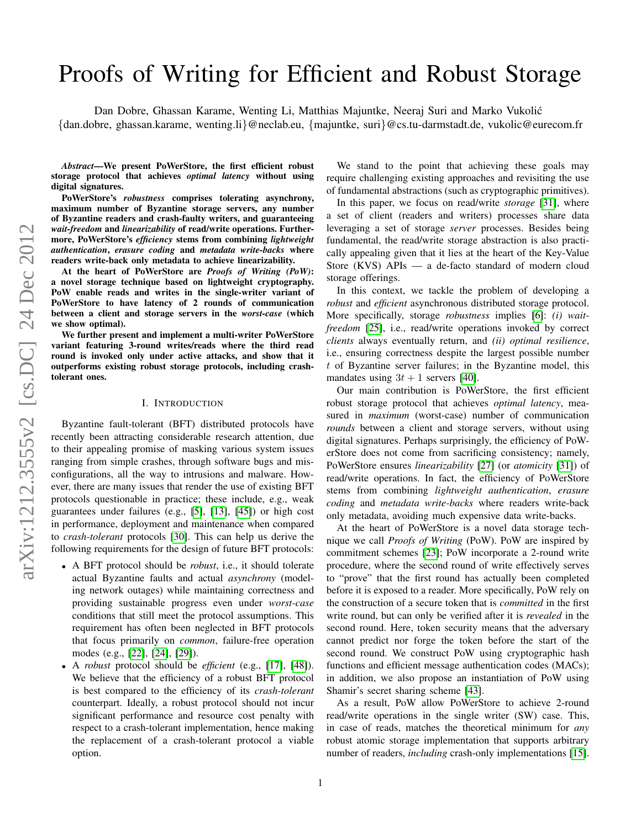# Proofs of Writing for Efficient and Robust Storage

Dan Dobre, Ghassan Karame, Wenting Li, Matthias Majuntke, Neeraj Suri and Marko Vukolic´ {dan.dobre, ghassan.karame, wenting.li}@neclab.eu, {majuntke, suri}@cs.tu-darmstadt.de, vukolic@eurecom.fr

*Abstract*—We present PoWerStore, the first efficient robust storage protocol that achieves *optimal latency* without using digital signatures.

PoWerStore's *robustness* comprises tolerating asynchrony, maximum number of Byzantine storage servers, any number of Byzantine readers and crash-faulty writers, and guaranteeing *wait-freedom* and *linearizability* of read/write operations. Furthermore, PoWerStore's *efficiency* stems from combining *lightweight authentication*, *erasure coding* and *metadata write-backs* where readers write-back only metadata to achieve linearizability.

At the heart of PoWerStore are *Proofs of Writing (PoW)*: a novel storage technique based on lightweight cryptography. PoW enable reads and writes in the single-writer variant of PoWerStore to have latency of 2 rounds of communication between a client and storage servers in the *worst-case* (which we show optimal).

We further present and implement a multi-writer PoWerStore variant featuring 3-round writes/reads where the third read round is invoked only under active attacks, and show that it outperforms existing robust storage protocols, including crashtolerant ones.

# I. INTRODUCTION

Byzantine fault-tolerant (BFT) distributed protocols have recently been attracting considerable research attention, due to their appealing promise of masking various system issues ranging from simple crashes, through software bugs and misconfigurations, all the way to intrusions and malware. However, there are many issues that render the use of existing BFT protocols questionable in practice; these include, e.g., weak guarantees under failures (e.g., [\[5\]](#page-11-0), [\[13\]](#page-11-1), [\[45\]](#page-11-2)) or high cost in performance, deployment and maintenance when compared to *crash-tolerant* protocols [\[30\]](#page-11-3). This can help us derive the following requirements for the design of future BFT protocols:

- A BFT protocol should be *robust*, i.e., it should tolerate actual Byzantine faults and actual *asynchrony* (modeling network outages) while maintaining correctness and providing sustainable progress even under *worst-case* conditions that still meet the protocol assumptions. This requirement has often been neglected in BFT protocols that focus primarily on *common*, failure-free operation modes (e.g., [\[22\]](#page-11-4), [\[24\]](#page-11-5), [\[29\]](#page-11-6)).
- A *robust* protocol should be *efficient* (e.g., [\[17\]](#page-11-7), [\[48\]](#page-11-8)). We believe that the efficiency of a robust BFT protocol is best compared to the efficiency of its *crash-tolerant* counterpart. Ideally, a robust protocol should not incur significant performance and resource cost penalty with respect to a crash-tolerant implementation, hence making the replacement of a crash-tolerant protocol a viable option.

We stand to the point that achieving these goals may require challenging existing approaches and revisiting the use of fundamental abstractions (such as cryptographic primitives).

In this paper, we focus on read/write *storage* [\[31\]](#page-11-9), where a set of client (readers and writers) processes share data leveraging a set of storage *server* processes. Besides being fundamental, the read/write storage abstraction is also practically appealing given that it lies at the heart of the Key-Value Store (KVS) APIs — a de-facto standard of modern cloud storage offerings.

In this context, we tackle the problem of developing a *robust* and *efficient* asynchronous distributed storage protocol. More specifically, storage *robustness* implies [\[6\]](#page-11-10): *(i) waitfreedom* [\[25\]](#page-11-11), i.e., read/write operations invoked by correct *clients* always eventually return, and *(ii) optimal resilience*, i.e., ensuring correctness despite the largest possible number t of Byzantine server failures; in the Byzantine model, this mandates using  $3t + 1$  servers [\[40\]](#page-11-12).

Our main contribution is PoWerStore, the first efficient robust storage protocol that achieves *optimal latency*, measured in *maximum* (worst-case) number of communication *rounds* between a client and storage servers, without using digital signatures. Perhaps surprisingly, the efficiency of PoWerStore does not come from sacrificing consistency; namely, PoWerStore ensures *linearizability* [\[27\]](#page-11-13) (or *atomicity* [\[31\]](#page-11-9)) of read/write operations. In fact, the efficiency of PoWerStore stems from combining *lightweight authentication*, *erasure coding* and *metadata write-backs* where readers write-back only metadata, avoiding much expensive data write-backs.

At the heart of PoWerStore is a novel data storage technique we call *Proofs of Writing* (PoW). PoW are inspired by commitment schemes [\[23\]](#page-11-14); PoW incorporate a 2-round write procedure, where the second round of write effectively serves to "prove" that the first round has actually been completed before it is exposed to a reader. More specifically, PoW rely on the construction of a secure token that is *committed* in the first write round, but can only be verified after it is *revealed* in the second round. Here, token security means that the adversary cannot predict nor forge the token before the start of the second round. We construct PoW using cryptographic hash functions and efficient message authentication codes (MACs); in addition, we also propose an instantiation of PoW using Shamir's secret sharing scheme [\[43\]](#page-11-15).

As a result, PoW allow PoWerStore to achieve 2-round read/write operations in the single writer (SW) case. This, in case of reads, matches the theoretical minimum for *any* robust atomic storage implementation that supports arbitrary number of readers, *including* crash-only implementations [\[15\]](#page-11-16).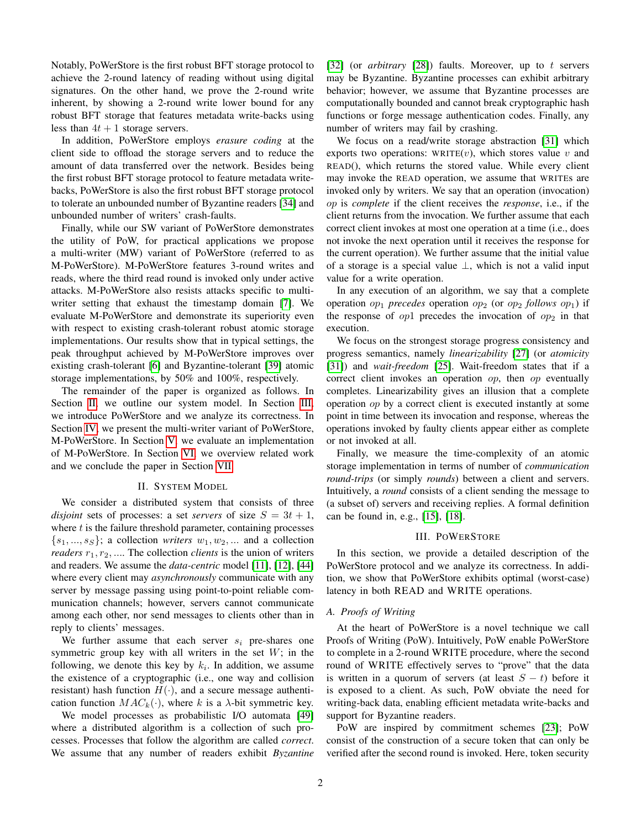Notably, PoWerStore is the first robust BFT storage protocol to achieve the 2-round latency of reading without using digital signatures. On the other hand, we prove the 2-round write inherent, by showing a 2-round write lower bound for any robust BFT storage that features metadata write-backs using less than  $4t + 1$  storage servers.

In addition, PoWerStore employs *erasure coding* at the client side to offload the storage servers and to reduce the amount of data transferred over the network. Besides being the first robust BFT storage protocol to feature metadata writebacks, PoWerStore is also the first robust BFT storage protocol to tolerate an unbounded number of Byzantine readers [\[34\]](#page-11-17) and unbounded number of writers' crash-faults.

Finally, while our SW variant of PoWerStore demonstrates the utility of PoW, for practical applications we propose a multi-writer (MW) variant of PoWerStore (referred to as M-PoWerStore). M-PoWerStore features 3-round writes and reads, where the third read round is invoked only under active attacks. M-PoWerStore also resists attacks specific to multiwriter setting that exhaust the timestamp domain [\[7\]](#page-11-18). We evaluate M-PoWerStore and demonstrate its superiority even with respect to existing crash-tolerant robust atomic storage implementations. Our results show that in typical settings, the peak throughput achieved by M-PoWerStore improves over existing crash-tolerant [\[6\]](#page-11-10) and Byzantine-tolerant [\[39\]](#page-11-19) atomic storage implementations, by 50% and 100%, respectively.

The remainder of the paper is organized as follows. In Section [II,](#page-1-0) we outline our system model. In Section [III,](#page-1-1) we introduce PoWerStore and we analyze its correctness. In Section [IV,](#page-5-0) we present the multi-writer variant of PoWerStore, M-PoWerStore. In Section [V,](#page-7-0) we evaluate an implementation of M-PoWerStore. In Section [VI,](#page-9-0) we overview related work and we conclude the paper in Section [VII.](#page-10-0)

## II. SYSTEM MODEL

<span id="page-1-0"></span>We consider a distributed system that consists of three *disjoint* sets of processes: a set *servers* of size  $S = 3t + 1$ , where  $t$  is the failure threshold parameter, containing processes  $\{s_1, ..., s_S\}$ ; a collection *writers*  $w_1, w_2, ...$  and a collection *readers*  $r_1, r_2, \ldots$  The collection *clients* is the union of writers and readers. We assume the *data-centric* model [\[11\]](#page-11-20), [\[12\]](#page-11-21), [\[44\]](#page-11-22) where every client may *asynchronously* communicate with any server by message passing using point-to-point reliable communication channels; however, servers cannot communicate among each other, nor send messages to clients other than in reply to clients' messages.

We further assume that each server  $s_i$  pre-shares one symmetric group key with all writers in the set  $W$ ; in the following, we denote this key by  $k_i$ . In addition, we assume the existence of a cryptographic (i.e., one way and collision resistant) hash function  $H(\cdot)$ , and a secure message authentication function  $MAC_k(\cdot)$ , where k is a  $\lambda$ -bit symmetric key.

We model processes as probabilistic I/O automata [\[49\]](#page-11-23) where a distributed algorithm is a collection of such processes. Processes that follow the algorithm are called *correct*. We assume that any number of readers exhibit *Byzantine* [\[32\]](#page-11-24) (or *arbitrary* [\[28\]](#page-11-25)) faults. Moreover, up to t servers may be Byzantine. Byzantine processes can exhibit arbitrary behavior; however, we assume that Byzantine processes are computationally bounded and cannot break cryptographic hash functions or forge message authentication codes. Finally, any number of writers may fail by crashing.

We focus on a read/write storage abstraction [\[31\]](#page-11-9) which exports two operations: WRITE $(v)$ , which stores value v and READ(), which returns the stored value. While every client may invoke the READ operation, we assume that WRITEs are invoked only by writers. We say that an operation (invocation) op is *complete* if the client receives the *response*, i.e., if the client returns from the invocation. We further assume that each correct client invokes at most one operation at a time (i.e., does not invoke the next operation until it receives the response for the current operation). We further assume that the initial value of a storage is a special value ⊥, which is not a valid input value for a write operation.

In any execution of an algorithm, we say that a complete operation  $op_1$  *precedes* operation  $op_2$  (or  $op_2$  *follows*  $op_1$ ) if the response of  $op1$  precedes the invocation of  $op2$  in that execution.

We focus on the strongest storage progress consistency and progress semantics, namely *linearizability* [\[27\]](#page-11-13) (or *atomicity* [\[31\]](#page-11-9)) and *wait-freedom* [\[25\]](#page-11-11). Wait-freedom states that if a correct client invokes an operation op, then op eventually completes. Linearizability gives an illusion that a complete operation op by a correct client is executed instantly at some point in time between its invocation and response, whereas the operations invoked by faulty clients appear either as complete or not invoked at all.

Finally, we measure the time-complexity of an atomic storage implementation in terms of number of *communication round-trips* (or simply *rounds*) between a client and servers. Intuitively, a *round* consists of a client sending the message to (a subset of) servers and receiving replies. A formal definition can be found in, e.g., [\[15\]](#page-11-16), [\[18\]](#page-11-26).

## III. POWERSTORE

<span id="page-1-1"></span>In this section, we provide a detailed description of the PoWerStore protocol and we analyze its correctness. In addition, we show that PoWerStore exhibits optimal (worst-case) latency in both READ and WRITE operations.

## *A. Proofs of Writing*

At the heart of PoWerStore is a novel technique we call Proofs of Writing (PoW). Intuitively, PoW enable PoWerStore to complete in a 2-round WRITE procedure, where the second round of WRITE effectively serves to "prove" that the data is written in a quorum of servers (at least  $S - t$ ) before it is exposed to a client. As such, PoW obviate the need for writing-back data, enabling efficient metadata write-backs and support for Byzantine readers.

PoW are inspired by commitment schemes [\[23\]](#page-11-14); PoW consist of the construction of a secure token that can only be verified after the second round is invoked. Here, token security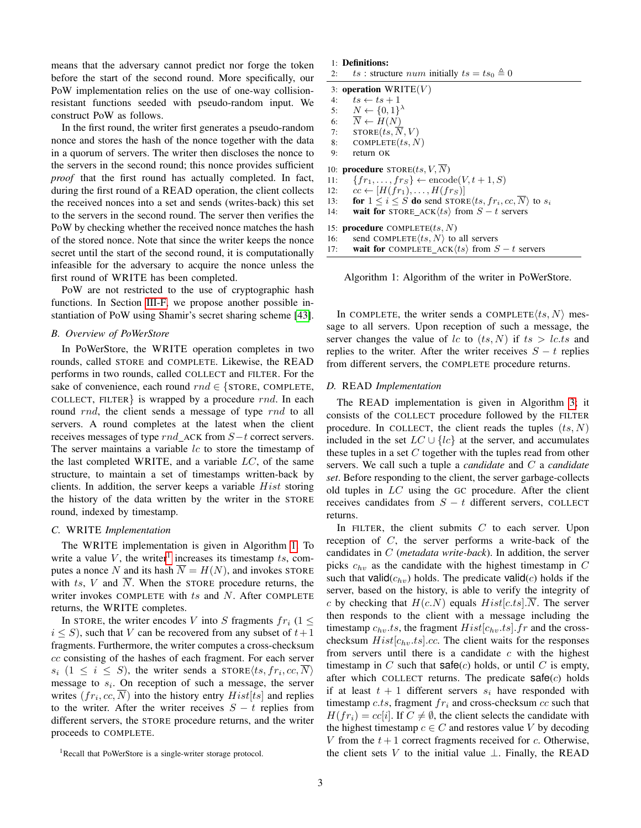means that the adversary cannot predict nor forge the token before the start of the second round. More specifically, our PoW implementation relies on the use of one-way collisionresistant functions seeded with pseudo-random input. We construct PoW as follows.

In the first round, the writer first generates a pseudo-random nonce and stores the hash of the nonce together with the data in a quorum of servers. The writer then discloses the nonce to the servers in the second round; this nonce provides sufficient *proof* that the first round has actually completed. In fact, during the first round of a READ operation, the client collects the received nonces into a set and sends (writes-back) this set to the servers in the second round. The server then verifies the PoW by checking whether the received nonce matches the hash of the stored nonce. Note that since the writer keeps the nonce secret until the start of the second round, it is computationally infeasible for the adversary to acquire the nonce unless the first round of WRITE has been completed.

PoW are not restricted to the use of cryptographic hash functions. In Section [III-F,](#page-3-0) we propose another possible instantiation of PoW using Shamir's secret sharing scheme [\[43\]](#page-11-15).

# *B. Overview of PoWerStore*

In PoWerStore, the WRITE operation completes in two rounds, called STORE and COMPLETE. Likewise, the READ performs in two rounds, called COLLECT and FILTER. For the sake of convenience, each round  $rnd \in \{ \text{STOPE}, \text{COMPLETE}, \text{OMPLETE} \}$ COLLECT, FILTER is wrapped by a procedure  $rnd.$  In each round rnd, the client sends a message of type rnd to all servers. A round completes at the latest when the client receives messages of type  $rnd\_ACK$  from  $S-t$  correct servers. The server maintains a variable  $lc$  to store the timestamp of the last completed WRITE, and a variable  $LC$ , of the same structure, to maintain a set of timestamps written-back by clients. In addition, the server keeps a variable  $Hist$  storing the history of the data written by the writer in the STORE round, indexed by timestamp.

## *C.* WRITE *Implementation*

The WRITE implementation is given in Algorithm [1.](#page-2-0) To write a value  $V$ , the writer<sup>[1](#page-2-1)</sup> increases its timestamp  $ts$ , computes a nonce N and its hash  $\overline{N} = H(N)$ , and invokes STORE with ts, V and  $\overline{N}$ . When the STORE procedure returns, the writer invokes COMPLETE with  $ts$  and  $N$ . After COMPLETE returns, the WRITE completes.

In STORE, the writer encodes V into S fragments  $fr_i$  (1  $\leq$  $i \leq S$ ), such that V can be recovered from any subset of  $t+1$ fragments. Furthermore, the writer computes a cross-checksum cc consisting of the hashes of each fragment. For each server  $s_i$   $(1 \leq i \leq S)$ , the writer sends a STORE $\langle ts, fr_i, cc, \overline{N} \rangle$ message to  $s_i$ . On reception of such a message, the server writes  $(fr_i, cc, \overline{N})$  into the history entry  $Hist[ts]$  and replies to the writer. After the writer receives  $S - t$  replies from different servers, the STORE procedure returns, and the writer proceeds to COMPLETE.

| 1: Definitions: |
|-----------------|
|                 |

| 2: |  | ts : structure num initially $ts = ts_0 \triangleq 0$ |  |  |  |  |  |
|----|--|-------------------------------------------------------|--|--|--|--|--|
|----|--|-------------------------------------------------------|--|--|--|--|--|

| 3: operation $WRITE(V)$ |  |  |
|-------------------------|--|--|
|-------------------------|--|--|

<span id="page-2-3"></span><span id="page-2-2"></span>

| 4:  | $ts \leftarrow ts + 1$                                                         |
|-----|--------------------------------------------------------------------------------|
|     | 5: $N \leftarrow \{0,1\}^{\lambda}$                                            |
| 6:  | $\overline{N} \leftarrow H(N)$                                                 |
| 7:  | $\text{STORE}(ts, \overline{N}, V)$                                            |
| 8:  | COMPLETE $(ts, N)$                                                             |
| 9:  | return OK                                                                      |
|     | 10: <b>procedure</b> $\text{STORE}(ts, V, \overline{N})$                       |
| 11: | $\{fr_1,\ldots, fr_S\} \leftarrow \text{encode}(V, t+1, S)$                    |
| 12: | $cc \leftarrow [H(fr_1), \ldots, H(fr_S)]$                                     |
| 13: | for $1 \leq i \leq S$ do send STORE $\langle ts, fr_i, cc, N \rangle$ to $s_i$ |
| 14: | wait for STORE_ACK $\langle ts \rangle$ from $S - t$ servers                   |
|     | 15: <b>procedure</b> COMPLETE $(ts, N)$                                        |
| 16: | send COMPLETE $\langle ts, N \rangle$ to all servers                           |

17: wait for COMPLETE ACK $\langle ts \rangle$  from  $S - t$  servers

<span id="page-2-0"></span>Algorithm 1: Algorithm of the writer in PoWerStore.

In COMPLETE, the writer sends a COMPLETE $\langle ts, N \rangle$  message to all servers. Upon reception of such a message, the server changes the value of lc to  $(ts, N)$  if  $ts > lc.ts$  and replies to the writer. After the writer receives  $S - t$  replies from different servers, the COMPLETE procedure returns.

# *D.* READ *Implementation*

The READ implementation is given in Algorithm [3;](#page-4-0) it consists of the COLLECT procedure followed by the FILTER procedure. In COLLECT, the client reads the tuples  $(ts, N)$ included in the set  $LC \cup \{lc\}$  at the server, and accumulates these tuples in a set  $C$  together with the tuples read from other servers. We call such a tuple a *candidate* and C a *candidate set*. Before responding to the client, the server garbage-collects old tuples in LC using the GC procedure. After the client receives candidates from  $S - t$  different servers, COLLECT returns.

In FILTER, the client submits  $C$  to each server. Upon reception of C, the server performs a write-back of the candidates in C (*metadata write-back*). In addition, the server picks  $c_{hv}$  as the candidate with the highest timestamp in C such that valid $(c<sub>hv</sub>)$  holds. The predicate valid $(c)$  holds if the server, based on the history, is able to verify the integrity of c by checking that  $H(c.N)$  equals  $Hist[c.ts]$ . The server then responds to the client with a message including the timestamp  $c_{hv}.ts$ , the fragment  $Hist[c_{hv}.ts]$ . fr and the crosschecksum  $Hist[c_{hv}.ts].cc$ . The client waits for the responses from servers until there is a candidate  $c$  with the highest timestamp in  $C$  such that  $\text{safe}(c)$  holds, or until  $C$  is empty, after which COLLECT returns. The predicate  $\text{safe}(c)$  holds if at least  $t + 1$  different servers  $s_i$  have responded with timestamp c.ts, fragment  $fr_i$  and cross-checksum cc such that  $H(fr_i) = cc[i]$ . If  $C \neq \emptyset$ , the client selects the candidate with the highest timestamp  $c \in C$  and restores value V by decoding V from the  $t + 1$  correct fragments received for c. Otherwise, the client sets V to the initial value  $\perp$ . Finally, the READ

<span id="page-2-1"></span><sup>&</sup>lt;sup>1</sup>Recall that PoWerStore is a single-writer storage protocol.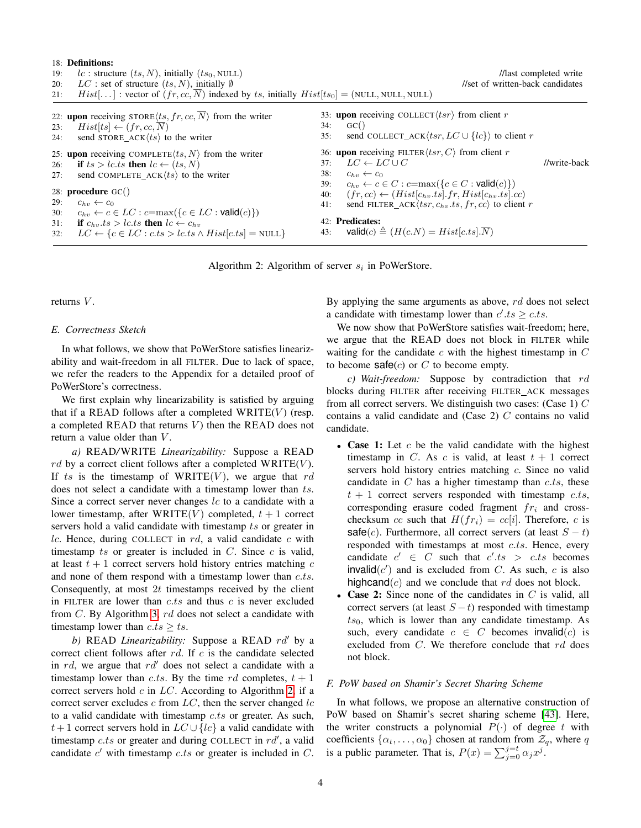<span id="page-3-4"></span>

| 19:<br>20:<br>21: | 18: Definitions:<br>lc : structure $(ts, N)$ , initially $(ts_0, NULL)$<br>$LC$ : set of structure $(ts, N)$ , initially $\emptyset$<br>$Hist[\ldots]$ : vector of $(fr, cc, N)$ indexed by ts, initially $Hist[ts_0] = (NULL, NULL, NULL)$ |                                 | //set of written-back candidates                                                                                                                                                                                                                                                                                                            | //last completed write |
|-------------------|---------------------------------------------------------------------------------------------------------------------------------------------------------------------------------------------------------------------------------------------|---------------------------------|---------------------------------------------------------------------------------------------------------------------------------------------------------------------------------------------------------------------------------------------------------------------------------------------------------------------------------------------|------------------------|
| 23:<br>24:        | 22: upon receiving STORE $\langle ts, fr, cc, \overline{N} \rangle$ from the writer<br>$Hist[ts] \leftarrow (fr, cc, \overline{N})$<br>send STORE_ACK $\langle ts \rangle$ to the writer                                                    | 34:<br>35:                      | 33: upon receiving COLLECT $\langle tsr \rangle$ from client r<br>$GC($ )<br>send COLLECT ACK $\langle tsr, LC \cup \{lc\} \rangle$ to client r                                                                                                                                                                                             |                        |
| 26:<br>27:<br>29: | 25: upon receiving COMPLETE $\langle ts, N \rangle$ from the writer<br>if $ts > lc.ts$ then $lc \leftarrow (ts, N)$<br>send COMPLETE $ACK(ts)$ to the writer<br>28: <b>procedure</b> $GC()$<br>$c_{h\eta} \leftarrow c_0$                   | 37:<br>38:<br>39:<br>40:<br>41: | 36: upon receiving FILTER $\langle tsr, C \rangle$ from client r<br>$LC \leftarrow LC \cup C$<br>$c_{hv} \leftarrow c_0$<br>$c_{hv} \leftarrow c \in C : c = \max(\{c \in C : \text{valid}(c)\})$<br>$(fr, cc) \leftarrow (Hist[c_{hv}.ts].fr, Hist[c_{hv}.ts].cc)$<br>send FILTER ACK $\langle tsr, c_{hv}.ts, fr, cc \rangle$ to client r | //write-back           |
| 30:<br>31:<br>32: | $c_{hv} \leftarrow c \in LC : c = \max(\{c \in LC : \text{valid}(c)\})$<br>if $c_{hv}.ts > lc.ts$ then $lc \leftarrow c_{hv}$<br>$LC \leftarrow \{c \in LC : c.ts > l c.ts \land Hist[c.ts] = NULL\}$                                       | 43:                             | 42: Predicates:<br>$\mathsf{valid}(c) \triangleq (H(c.N)) = Hist[c.ts].N)$                                                                                                                                                                                                                                                                  |                        |

<span id="page-3-7"></span><span id="page-3-6"></span><span id="page-3-5"></span>Algorithm 2: Algorithm of server  $s_i$  in PoWerStore.

<span id="page-3-1"></span>returns V.

#### <span id="page-3-2"></span>*E. Correctness Sketch*

In what follows, we show that PoWerStore satisfies linearizability and wait-freedom in all FILTER. Due to lack of space, we refer the readers to the Appendix for a detailed proof of PoWerStore's correctness.

We first explain why linearizability is satisfied by arguing that if a READ follows after a completed  $WRITE(V)$  (resp. a completed READ that returns  $V$ ) then the READ does not return a value older than  $V$ .

*a)* READ*/*WRITE *Linearizability:* Suppose a READ  $rd$  by a correct client follows after a completed WRITE(V). If ts is the timestamp of WRITE $(V)$ , we argue that rd does not select a candidate with a timestamp lower than ts. Since a correct server never changes  $lc$  to a candidate with a lower timestamp, after WRITE $(V)$  completed,  $t + 1$  correct servers hold a valid candidate with timestamp ts or greater in lc. Hence, during COLLECT in  $rd$ , a valid candidate  $c$  with timestamp ts or greater is included in  $C$ . Since  $c$  is valid, at least  $t + 1$  correct servers hold history entries matching  $c$ and none of them respond with a timestamp lower than c.ts. Consequently, at most  $2t$  timestamps received by the client in FILTER are lower than  $c.ts$  and thus  $c$  is never excluded from  $C$ . By Algorithm [3,](#page-4-0)  $rd$  does not select a candidate with timestamp lower than  $c.ts \geq ts$ .

*b)* READ *Linearizability:* Suppose a READ rd' by a correct client follows after  $rd$ . If  $c$  is the candidate selected in rd, we argue that  $rd'$  does not select a candidate with a timestamp lower than c.ts. By the time rd completes,  $t + 1$ correct servers hold  $c$  in  $LC$ . According to Algorithm [2,](#page-3-1) if a correct server excludes c from  $LC$ , then the server changed  $lc$ to a valid candidate with timestamp  $c.ts$  or greater. As such, t + 1 correct servers hold in  $LC \cup \{lc\}$  a valid candidate with timestamp  $c.ts$  or greater and during COLLECT in  $rd'$ , a valid candidate  $c'$  with timestamp  $c.ts$  or greater is included in  $C$ . <span id="page-3-3"></span>By applying the same arguments as above,  $rd$  does not select a candidate with timestamp lower than  $c'.ts \geq c.ts$ .

We now show that PoWerStore satisfies wait-freedom; here, we argue that the READ does not block in FILTER while waiting for the candidate  $c$  with the highest timestamp in  $C$ to become  $\text{safe}(c)$  or C to become empty.

*c) Wait-freedom:* Suppose by contradiction that rd blocks during FILTER after receiving FILTER ACK messages from all correct servers. We distinguish two cases: (Case 1)  $C$ contains a valid candidate and (Case 2) C contains no valid candidate.

- Case 1: Let  $c$  be the valid candidate with the highest timestamp in C. As c is valid, at least  $t + 1$  correct servers hold history entries matching c. Since no valid candidate in  $C$  has a higher timestamp than  $c.ts$ , these  $t + 1$  correct servers responded with timestamp c.ts, corresponding erasure coded fragment  $fr_i$  and crosschecksum cc such that  $H(fr_i) = cc[i]$ . Therefore, c is safe(c). Furthermore, all correct servers (at least  $S - t$ ) responded with timestamps at most c.ts. Hence, every candidate  $c' \in C$  such that  $c'.ts > c.ts$  becomes invalid $(c')$  and is excluded from C. As such, c is also highcand( $c$ ) and we conclude that rd does not block.
- **Case 2:** Since none of the candidates in  $C$  is valid, all correct servers (at least  $S - t$ ) responded with timestamp  $ts<sub>0</sub>$ , which is lower than any candidate timestamp. As such, every candidate  $c \in C$  becomes invalid $(c)$  is excluded from  $C$ . We therefore conclude that  $rd$  does not block.

# <span id="page-3-0"></span>*F. PoW based on Shamir's Secret Sharing Scheme*

In what follows, we propose an alternative construction of PoW based on Shamir's secret sharing scheme [\[43\]](#page-11-15). Here, the writer constructs a polynomial  $P(\cdot)$  of degree t with coefficients  $\{\alpha_t, \dots, \alpha_0\}$  chosen at random from  $\mathcal{Z}_q$ , where q is a public parameter. That is,  $P(x) = \sum_{j=0}^{j=t} \alpha_j x^j$ .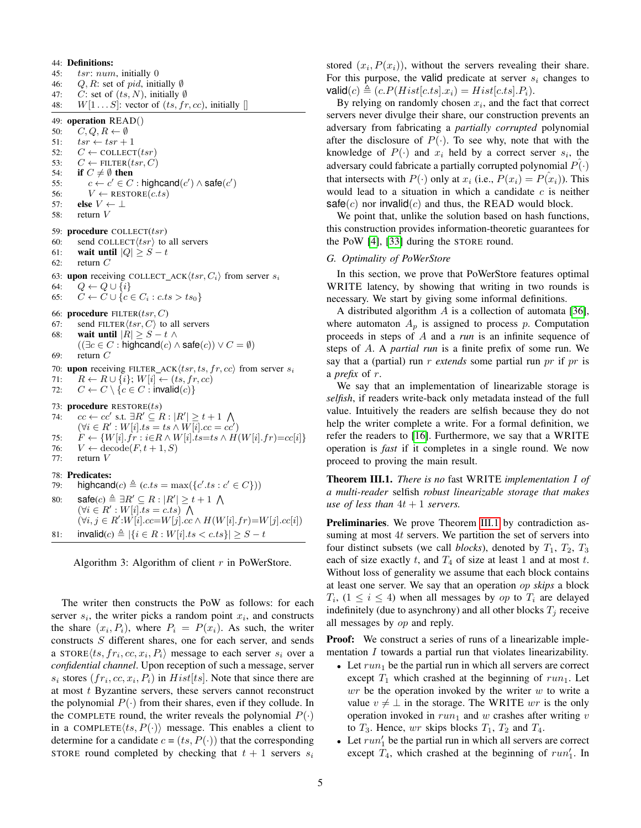<span id="page-4-2"></span>44: Definitions: 45: tsr: num, initially 0 46: Q, R: set of pid, initially  $\emptyset$ 47: C: set of  $(ts, N)$ , initially  $\emptyset$ 48:  $W[1 \dots S]$ : vector of  $(ts, fr, cc)$ , initially [] 49: operation READ() 50:  $C, Q, R \leftarrow \emptyset$ 51:  $tsr \leftarrow tsr + 1$ 52:  $C \leftarrow \text{COLLECT}(tsr)$ 53:  $C \leftarrow$  FILTER(*tsr*, *C*) 54: if  $C \neq \emptyset$  then 55:  $c \leftarrow c' \in C$ : highcand $(c') \wedge \mathsf{safe}(c')$ 56:  $V \leftarrow \text{RESTORE}(c.ts)$ 57: else  $V \leftarrow \perp$ 58: return V 59: procedure COLLECT $(tsr)$ 60: send COLLECT $\langle tsr \rangle$  to all servers 61: wait until  $|Q| \geq S - t$ 62: return  $C$ 63: upon receiving COLLECT\_ACK $\langle tsr, C_i \rangle$  from server  $s_i$ 64:  $Q \leftarrow Q \cup \{i\}$ 65:  $C \leftarrow C \cup \{c \in C_i : c.ts > ts_0\}$ 66: procedure  $FILTER(tsr, C)$ 67: send FILTER $\langle tsr, C \rangle$  to all servers 68: wait until  $|R| \geq S - t \wedge$  $((\exists c \in C : \mathsf{highcand}(c) \land \mathsf{safe}(c)) \lor C = \emptyset)$ 69: return  $C$ 70: upon receiving FILTER\_ACK $\langle tsr, ts, fr, cc \rangle$  from server  $s_i$ 71:  $R \leftarrow R \cup \{i\}; W[i] \leftarrow (ts, fr, cc)$ 72:  $C \leftarrow C \setminus \{c \in C : \text{invalid}(c)\}\$ 73: procedure RESTORE(ts) 74:  $cc \leftarrow cc'$  s.t.  $\exists R' \subseteq R : |R'| \geq t+1 \ \bigwedge$  $(\forall i \in R' : W[i].ts = ts \wedge W[i].cc = cc')$ 75:  $F \leftarrow \{W[i].fr : i \in R \wedge W[i].ts = ts \wedge H(W[i].fr) = cc[i]\}$ 76:  $V \leftarrow \text{decode}(F, t+1, S)$ 77: return V 78: Predicates: 79: highcand $(c) \triangleq (c.ts = \max({c'}.ts : c' \in C))$ 80:  $\text{safe}(c) \triangleq \exists R' \subseteq R : |R'| \geq t+1 \text{ } \bigwedge$  $(\forall i \in R' : W[i].ts = c.ts)$  $(\forall i, j \in R' : W[i].cc=W[j].cc \wedge H(W[i].fr)=W[j].cc[i])$ 81: invalid(c)  $\triangleq |\{i \in R : W[i].ts < c.ts\}|$  ≥ S − t

<span id="page-4-4"></span>Algorithm 3: Algorithm of client  $r$  in PoWerStore.

The writer then constructs the PoW as follows: for each server  $s_i$ , the writer picks a random point  $x_i$ , and constructs the share  $(x_i, P_i)$ , where  $P_i = P(x_i)$ . As such, the writer constructs S different shares, one for each server, and sends a STORE $\langle ts, fr_i, cc, x_i, P_i \rangle$  message to each server  $s_i$  over a *confidential channel*. Upon reception of such a message, server  $s_i$  stores  $(fr_i, cc, x_i, P_i)$  in  $Hist[ts]$ . Note that since there are at most  $t$  Byzantine servers, these servers cannot reconstruct the polynomial  $P(\cdot)$  from their shares, even if they collude. In the COMPLETE round, the writer reveals the polynomial  $P(\cdot)$ in a COMPLETE $\langle ts, P(\cdot) \rangle$  message. This enables a client to determine for a candidate  $c = (ts, P(\cdot))$  that the corresponding STORE round completed by checking that  $t + 1$  servers  $s_i$ 

stored  $(x_i, P(x_i))$ , without the servers revealing their share. For this purpose, the valid predicate at server  $s_i$  changes to  $\mathsf{valid}(c) \triangleq (c.P(Hist[c.ts].x_i) = Hist[c.ts].P_i).$ 

By relying on randomly chosen  $x_i$ , and the fact that correct servers never divulge their share, our construction prevents an adversary from fabricating a *partially corrupted* polynomial after the disclosure of  $P(\cdot)$ . To see why, note that with the knowledge of  $P(\cdot)$  and  $x_i$  held by a correct server  $s_i$ , the adversary could fabricate a partially corrupted polynomial  $P(\cdot)$ that intersects with  $P(\cdot)$  only at  $x_i$  (i.e.,  $P(x_i) = P(x_i)$ ). This would lead to a situation in which a candidate  $c$  is neither safe(c) nor invalid(c) and thus, the READ would block.

We point that, unlike the solution based on hash functions, this construction provides information-theoretic guarantees for the PoW [\[4\]](#page-11-27), [\[33\]](#page-11-28) during the STORE round.

# *G. Optimality of PoWerStore*

In this section, we prove that PoWerStore features optimal WRITE latency, by showing that writing in two rounds is necessary. We start by giving some informal definitions.

A distributed algorithm A is a collection of automata [\[36\]](#page-11-29), where automaton  $A_p$  is assigned to process p. Computation proceeds in steps of A and a *run* is an infinite sequence of steps of A. A *partial run* is a finite prefix of some run. We say that a (partial) run *r extends* some partial run *pr* if *pr* is a *prefix* of r.

<span id="page-4-5"></span>We say that an implementation of linearizable storage is *selfish*, if readers write-back only metadata instead of the full value. Intuitively the readers are selfish because they do not help the writer complete a write. For a formal definition, we refer the readers to [\[16\]](#page-11-30). Furthermore, we say that a WRITE operation is *fast* if it completes in a single round. We now proceed to proving the main result.

<span id="page-4-3"></span><span id="page-4-1"></span>Theorem III.1. *There is no* fast WRITE *implementation* I *of a multi-reader* selfish *robust linearizable storage that makes use of less than*  $4t + 1$  *servers.* 

<span id="page-4-0"></span>Preliminaries. We prove Theorem [III.1](#page-4-1) by contradiction assuming at most  $4t$  servers. We partition the set of servers into four distinct subsets (we call *blocks*), denoted by  $T_1$ ,  $T_2$ ,  $T_3$ each of size exactly t, and  $T_4$  of size at least 1 and at most t. Without loss of generality we assume that each block contains at least one server. We say that an operation op *skips* a block  $T_i$ ,  $(1 \le i \le 4)$  when all messages by *op* to  $T_i$  are delayed indefinitely (due to asynchrony) and all other blocks  $T_j$  receive all messages by *op* and reply.

**Proof:** We construct a series of runs of a linearizable implementation *I* towards a partial run that violates linearizability.

- Let  $run_1$  be the partial run in which all servers are correct except  $T_1$  which crashed at the beginning of  $run_1$ . Let  $wr$  be the operation invoked by the writer  $w$  to write a value  $v \neq \perp$  in the storage. The WRITE wr is the only operation invoked in  $run_1$  and w crashes after writing v to  $T_3$ . Hence, wr skips blocks  $T_1$ ,  $T_2$  and  $T_4$ .
- Let  $run'_1$  be the partial run in which all servers are correct except  $T_4$ , which crashed at the beginning of  $run'_1$ . In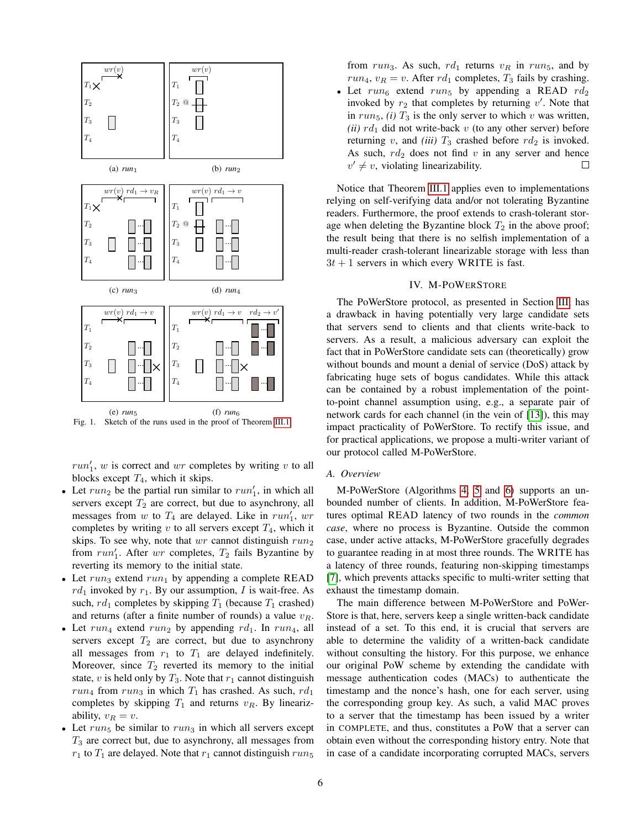

Fig. 1. Sketch of the runs used in the proof of Theorem [III.1.](#page-4-1)

 $run'_1$ , w is correct and wr completes by writing v to all blocks except  $T_4$ , which it skips.

- Let  $run_2$  be the partial run similar to  $run'_1$ , in which all servers except  $T_2$  are correct, but due to asynchrony, all messages from w to  $T_4$  are delayed. Like in  $run'_1$ , wr completes by writing  $v$  to all servers except  $T_4$ , which it skips. To see why, note that  $wr$  cannot distinguish  $run_2$ from  $run'_1$ . After wr completes,  $T_2$  fails Byzantine by reverting its memory to the initial state.
- Let  $run_3$  extend  $run_1$  by appending a complete READ  $rd_1$  invoked by  $r_1$ . By our assumption, I is wait-free. As such,  $rd_1$  completes by skipping  $T_1$  (because  $T_1$  crashed) and returns (after a finite number of rounds) a value  $v_R$ .
- Let run<sub>4</sub> extend run<sub>2</sub> by appending rd<sub>1</sub>. In run<sub>4</sub>, all servers except  $T_2$  are correct, but due to asynchrony all messages from  $r_1$  to  $T_1$  are delayed indefinitely. Moreover, since  $T_2$  reverted its memory to the initial state, v is held only by  $T_3$ . Note that  $r_1$  cannot distinguish  $run_4$  from  $run_3$  in which  $T_1$  has crashed. As such,  $rd_1$ completes by skipping  $T_1$  and returns  $v_R$ . By linearizability,  $v_R = v$ .
- Let  $run_5$  be similar to  $run_3$  in which all servers except  $T_3$  are correct but, due to asynchrony, all messages from  $r_1$  to  $T_1$  are delayed. Note that  $r_1$  cannot distinguish  $run_5$

from run<sub>3</sub>. As such,  $rd_1$  returns  $v_R$  in run<sub>5</sub>, and by  $run_4$ ,  $v_R = v$ . After  $rd_1$  completes,  $T_3$  fails by crashing.

• Let  $run_6$  extend  $run_5$  by appending a READ  $rd_2$ invoked by  $r_2$  that completes by returning  $v'$ . Note that in  $run_5$ , *(i)*  $T_3$  is the only server to which v was written, *(ii)*  $rd_1$  did not write-back v (to any other server) before returning v, and *(iii)*  $T_3$  crashed before  $rd_2$  is invoked. As such,  $rd_2$  does not find v in any server and hence  $v' \neq v$ , violating linearizability.  $\Box$ 

Notice that Theorem [III.1](#page-4-1) applies even to implementations relying on self-verifying data and/or not tolerating Byzantine readers. Furthermore, the proof extends to crash-tolerant storage when deleting the Byzantine block  $T_2$  in the above proof; the result being that there is no selfish implementation of a multi-reader crash-tolerant linearizable storage with less than  $3t + 1$  servers in which every WRITE is fast.

# IV. M-POWERSTORE

<span id="page-5-0"></span>The PoWerStore protocol, as presented in Section [III,](#page-1-1) has a drawback in having potentially very large candidate sets that servers send to clients and that clients write-back to servers. As a result, a malicious adversary can exploit the fact that in PoWerStore candidate sets can (theoretically) grow without bounds and mount a denial of service (DoS) attack by fabricating huge sets of bogus candidates. While this attack can be contained by a robust implementation of the pointto-point channel assumption using, e.g., a separate pair of network cards for each channel (in the vein of [\[13\]](#page-11-1)), this may impact practicality of PoWerStore. To rectify this issue, and for practical applications, we propose a multi-writer variant of our protocol called M-PoWerStore.

## *A. Overview*

M-PoWerStore (Algorithms [4,](#page-6-0) [5](#page-7-1) and [6\)](#page-8-0) supports an unbounded number of clients. In addition, M-PoWerStore features optimal READ latency of two rounds in the *common case*, where no process is Byzantine. Outside the common case, under active attacks, M-PoWerStore gracefully degrades to guarantee reading in at most three rounds. The WRITE has a latency of three rounds, featuring non-skipping timestamps [\[7\]](#page-11-18), which prevents attacks specific to multi-writer setting that exhaust the timestamp domain.

The main difference between M-PoWerStore and PoWer-Store is that, here, servers keep a single written-back candidate instead of a set. To this end, it is crucial that servers are able to determine the validity of a written-back candidate without consulting the history. For this purpose, we enhance our original PoW scheme by extending the candidate with message authentication codes (MACs) to authenticate the timestamp and the nonce's hash, one for each server, using the corresponding group key. As such, a valid MAC proves to a server that the timestamp has been issued by a writer in COMPLETE, and thus, constitutes a PoW that a server can obtain even without the corresponding history entry. Note that in case of a candidate incorporating corrupted MACs, servers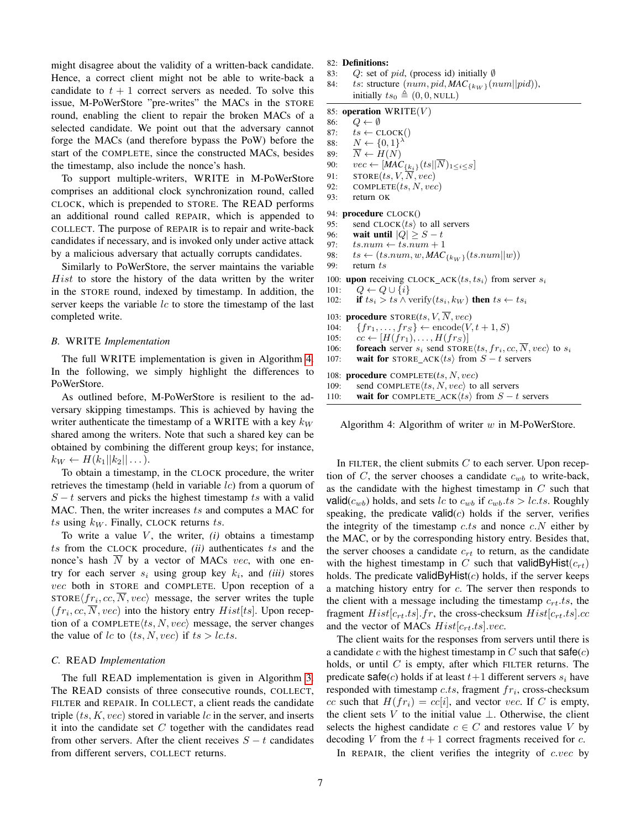might disagree about the validity of a written-back candidate. Hence, a correct client might not be able to write-back a candidate to  $t + 1$  correct servers as needed. To solve this issue, M-PoWerStore "pre-writes" the MACs in the STORE round, enabling the client to repair the broken MACs of a selected candidate. We point out that the adversary cannot forge the MACs (and therefore bypass the PoW) before the start of the COMPLETE, since the constructed MACs, besides the timestamp, also include the nonce's hash.

To support multiple-writers, WRITE in M-PoWerStore comprises an additional clock synchronization round, called CLOCK, which is prepended to STORE. The READ performs an additional round called REPAIR, which is appended to COLLECT. The purpose of REPAIR is to repair and write-back candidates if necessary, and is invoked only under active attack by a malicious adversary that actually corrupts candidates.

Similarly to PoWerStore, the server maintains the variable  $Hist$  to store the history of the data written by the writer in the STORE round, indexed by timestamp. In addition, the server keeps the variable  $lc$  to store the timestamp of the last completed write.

# *B.* WRITE *Implementation*

The full WRITE implementation is given in Algorithm [4.](#page-6-0) In the following, we simply highlight the differences to PoWerStore.

As outlined before, M-PoWerStore is resilient to the adversary skipping timestamps. This is achieved by having the writer authenticate the timestamp of a WRITE with a key  $k_W$ shared among the writers. Note that such a shared key can be obtained by combining the different group keys; for instance,  $k_W \leftarrow H(k_1||k_2||\dots).$ 

To obtain a timestamp, in the CLOCK procedure, the writer retrieves the timestamp (held in variable  $lc$ ) from a quorum of  $S - t$  servers and picks the highest timestamp ts with a valid MAC. Then, the writer increases ts and computes a MAC for ts using  $k_W$ . Finally, CLOCK returns ts.

To write a value  $V$ , the writer,  $(i)$  obtains a timestamp ts from the CLOCK procedure, *(ii)* authenticates ts and the nonce's hash  $\overline{N}$  by a vector of MACs vec, with one entry for each server  $s_i$  using group key  $k_i$ , and *(iii)* stores vec both in STORE and COMPLETE. Upon reception of a STORE $\langle fr_i, cc, N, vec \rangle$  message, the server writes the tuple  $(fr_i, cc, N, vec)$  into the history entry  $Hist[ts]$ . Upon reception of a COMPLETE $\langle ts, N, vec \rangle$  message, the server changes the value of lc to  $(ts, N, vec)$  if  $ts > lc.ts$ .

## *C.* READ *Implementation*

The full READ implementation is given in Algorithm [3.](#page-4-0) The READ consists of three consecutive rounds, COLLECT, FILTER and REPAIR. In COLLECT, a client reads the candidate triple  $(ts, K, vec)$  stored in variable lc in the server, and inserts it into the candidate set  $C$  together with the candidates read from other servers. After the client receives  $S - t$  candidates from different servers, COLLECT returns.

## 82: Definitions:

- 83: Q: set of pid, (process id) initially  $\emptyset$
- 84: ts: structure  $(num, pid, MAC_{\{k_W\}}(num||pid)),$ initially  $ts_0 \triangleq (0, 0, \text{NULL})$

# 85: operation  $WRITE(V)$

- <span id="page-6-1"></span>86:  $Q \leftarrow \emptyset$
- 87:  $ts \leftarrow \text{CLOCK}()$
- 88:  $N \leftarrow \{0,1\}^{\lambda}$
- 89:  $\overline{N} \leftarrow H(N)$
- 90:  $vec \leftarrow [MAC_{\{k_i\}}(ts||\overline{N})_{1 \leq i \leq S}]$
- <span id="page-6-3"></span>91:  $STORE(ts, V, \overline{N}, vec)$
- 92: COMPLETE $(ts, N, vec)$
- 93: return OK

# 94: procedure CLOCK()

- 95: send CLOCK $\langle ts \rangle$  to all servers
- 96: **wait until**  $|Q| \geq S t$
- 97:  $ts.num \leftarrow ts.num + 1$
- 98:  $ts \leftarrow (ts.num, w, MAC_{\{k_W\}}(ts.num||w))$ <br>99: return ts

```
return ts
```

```
100: upon receiving CLOCK_ACK\langle ts, ts_i \rangle from server s_i
```

```
101: Q \leftarrow Q \cup \{i\}102: if ts_i > ts \wedge verify(ts_i, k_W) then ts \leftarrow ts_i
```
103: **procedure** STORE(ts,  $V$ ,  $\overline{N}$ , vec)

- 104:  $\{fr_1,\ldots,fr_S\} \leftarrow \text{encode}(V, t+1, S)$
- 105:  $cc \leftarrow [H(fr_1), \ldots, H(fr_S)]$
- 106: **foreach** server  $s_i$  send STORE $\langle ts, fr_i, cc, \overline{N}, vec \rangle$  to  $s_i$
- 107: wait for STORE\_ACK $\langle ts \rangle$  from  $S t$  servers

108: procedure COMPLETE $(ts, N, vec)$ 

```
109: send COMPLETE\langle ts, N, vec \rangle to all servers
```

```
110: wait for COMPLETE_ACK\langle ts \rangle from S - t servers
```
<span id="page-6-0"></span>Algorithm 4: Algorithm of writer  $w$  in M-PoWerStore.

In FILTER, the client submits  $C$  to each server. Upon reception of  $C$ , the server chooses a candidate  $c_{wb}$  to write-back, as the candidate with the highest timestamp in  $C$  such that valid( $c_{wb}$ ) holds, and sets lc to  $c_{wb}$  if  $c_{wb}.ts > lcts$ . Roughly speaking, the predicate  $valid(c)$  holds if the server, verifies the integrity of the timestamp c.ts and nonce  $c.N$  either by the MAC, or by the corresponding history entry. Besides that, the server chooses a candidate  $c_{rt}$  to return, as the candidate with the highest timestamp in C such that validByHist( $c_{rt}$ ) holds. The predicate validByHist $(c)$  holds, if the server keeps a matching history entry for c. The server then responds to the client with a message including the timestamp  $c_{rt}.ts$ , the fragment  $Hist[c_{rt}.ts]$ .fr, the cross-checksum  $Hist[c_{rt}.ts]$ .cc and the vector of MACs  $Hist[c_{rt}.ts].vec$ .

The client waits for the responses from servers until there is a candidate c with the highest timestamp in  $C$  such that  $\text{safe}(c)$ holds, or until  $C$  is empty, after which FILTER returns. The predicate safe(c) holds if at least  $t+1$  different servers  $s_i$  have responded with timestamp  $c.ts$ , fragment  $fr_i$ , cross-checksum cc such that  $H(fr_i) = cc[i]$ , and vector vec. If C is empty, the client sets V to the initial value  $\perp$ . Otherwise, the client selects the highest candidate  $c \in C$  and restores value V by decoding V from the  $t + 1$  correct fragments received for c.

In REPAIR, the client verifies the integrity of  $c.vec$  by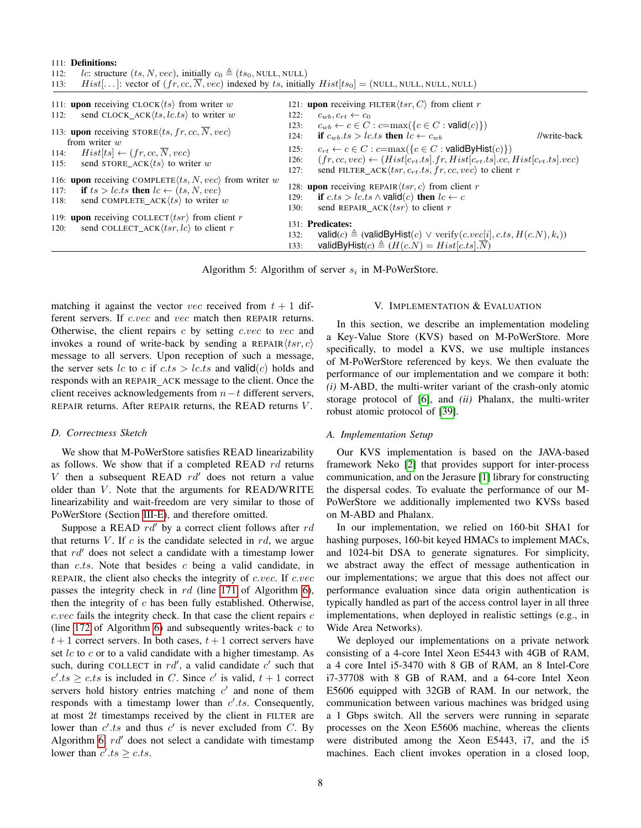## 111: Definitions:

<span id="page-7-3"></span>

| <i>lc</i> : structure $(ts, N, vec)$ , initially $c_0 \triangleq (ts_0, NULL, NULL)$<br>112:                                                |                                                                                                                                                                                       |
|---------------------------------------------------------------------------------------------------------------------------------------------|---------------------------------------------------------------------------------------------------------------------------------------------------------------------------------------|
| Hist[]: vector of $(fr, cc, \overline{N}, vec)$ indexed by ts, initially $Hist[ts_0] = (NULL, NULL, NULL, NULL)$<br>113:                    |                                                                                                                                                                                       |
| 111: upon receiving CLOCK $\langle ts \rangle$ from writer w                                                                                | 121: <b>upon</b> receiving FILTER $\langle tsr, C \rangle$ from client r                                                                                                              |
| send CLOCK_ACK $\langle ts, lc.ts \rangle$ to writer w<br>112:                                                                              | 122:<br>$c_{wb}, c_{rt} \leftarrow c_0$                                                                                                                                               |
| 113: upon receiving $\text{STORE}(ts, fr, cc, N, vec)$<br>from writer $w$                                                                   | $c_{wb} \leftarrow c \in C : c = \max(\{c \in C : \text{valid}(c)\})$<br>123:<br>if $c_{wh}.ts > lc.ts$ then $lc \leftarrow c_{wh}$<br>//write-back<br>124:                           |
| $Hist[ts] \leftarrow (fr, cc, N, vec)$<br>114:                                                                                              | $c_{rt} \leftarrow c \in C : c = \max(\{c \in C : \text{validByHist}(c)\})$<br>125:                                                                                                   |
| send STORE_ACK $\langle ts \rangle$ to writer w<br>115:                                                                                     | $(fr, cc, vec) \leftarrow (Hist[c_{rt}.ts].fr, Hist[c_{rt}.ts].cc, Hist[c_{rt}.ts].vec)$<br>126:<br>send FILTER_ACK $\langle tsr, c_{rt}.ts, fr, cc, vec \rangle$ to client r<br>127: |
| 116: <b>upon</b> receiving COMPLETE $\langle ts, N, vec \rangle$ from writer w<br>if $ts > lc.ts$ then $lc \leftarrow (ts, N, vec)$<br>117: | 128: <b>upon</b> receiving REPAIR $\langle tsr, c \rangle$ from client r                                                                                                              |
|                                                                                                                                             | if $c.ts > lc.ts \land \text{valid}(c)$ then $lc \leftarrow c$<br>129:                                                                                                                |
| send COMPLETE_ACK $\langle ts \rangle$ to writer w<br>118:                                                                                  | send REPAIR_ACK $\langle tsr \rangle$ to client r<br>130:                                                                                                                             |
| 119: upon receiving COLLECT $\langle tsr \rangle$ from client r<br>send COLLECT_ACK $\langle tsr, lc \rangle$ to client r<br>120:           | 131: Predicates:                                                                                                                                                                      |
|                                                                                                                                             | $valid(c) \triangleq (validByHist(c) \vee verify(c.vec[i], c.ts, H(c.N), k_i))$<br>132:                                                                                               |
|                                                                                                                                             | validByHist(c) $\triangleq$ ( $H(c.N) = Hist[c.ts].\overline{N}$ )<br>133:                                                                                                            |

<span id="page-7-7"></span><span id="page-7-5"></span>Algorithm 5: Algorithm of server  $s_i$  in M-PoWerStore.

matching it against the vector *vec* received from  $t + 1$  different servers. If c.vec and vec match then REPAIR returns. Otherwise, the client repairs  $c$  by setting c.vec to vec and invokes a round of write-back by sending a REPAIR $\langle tsr, c \rangle$ message to all servers. Upon reception of such a message, the server sets lc to c if  $c.ts > lcts$  and valid $(c)$  holds and responds with an REPAIR ACK message to the client. Once the client receives acknowledgements from  $n-t$  different servers, REPAIR returns. After REPAIR returns, the READ returns V .

## *D. Correctness Sketch*

We show that M-PoWerStore satisfies READ linearizability as follows. We show that if a completed READ  $rd$  returns V then a subsequent READ  $rd'$  does not return a value older than  $V$ . Note that the arguments for READ/WRITE linearizability and wait-freedom are very similar to those of PoWerStore (Section [III-E\)](#page-3-2), and therefore omitted.

Suppose a READ  $rd'$  by a correct client follows after  $rd$ that returns  $V$ . If  $c$  is the candidate selected in  $rd$ , we argue that  $rd'$  does not select a candidate with a timestamp lower than  $c.ts.$  Note that besides  $c$  being a valid candidate, in REPAIR, the client also checks the integrity of c.vec. If c.vec passes the integrity check in  $rd$  (line [171](#page-8-1) of Algorithm [6\)](#page-8-0), then the integrity of  $c$  has been fully established. Otherwise,  $c.vec$  fails the integrity check. In that case the client repairs  $c$ (line [172](#page-8-2) of Algorithm [6\)](#page-8-0) and subsequently writes-back  $c$  to  $t + 1$  correct servers. In both cases,  $t + 1$  correct servers have set  $lc$  to  $c$  or to a valid candidate with a higher timestamp. As such, during COLLECT in  $rd'$ , a valid candidate  $c'$  such that  $c'.ts \geq c.ts$  is included in C. Since c' is valid,  $t + 1$  correct servers hold history entries matching  $c'$  and none of them responds with a timestamp lower than  $c'.ts$ . Consequently, at most  $2t$  timestamps received by the client in FILTER are lower than  $c'.ts$  and thus  $c'$  is never excluded from C. By Algorithm [6,](#page-8-0)  $rd'$  does not select a candidate with timestamp lower than  $c'.ts \geq c.ts$ .

## <span id="page-7-9"></span><span id="page-7-8"></span><span id="page-7-6"></span><span id="page-7-4"></span><span id="page-7-1"></span>V. IMPLEMENTATION & EVALUATION

<span id="page-7-0"></span>In this section, we describe an implementation modeling a Key-Value Store (KVS) based on M-PoWerStore. More specifically, to model a KVS, we use multiple instances of M-PoWerStore referenced by keys. We then evaluate the performance of our implementation and we compare it both: *(i)* M-ABD, the multi-writer variant of the crash-only atomic storage protocol of [\[6\]](#page-11-10), and *(ii)* Phalanx, the multi-writer robust atomic protocol of [\[39\]](#page-11-19).

## <span id="page-7-2"></span>*A. Implementation Setup*

Our KVS implementation is based on the JAVA-based framework Neko [\[2\]](#page-11-31) that provides support for inter-process communication, and on the Jerasure [\[1\]](#page-11-32) library for constructing the dispersal codes. To evaluate the performance of our M-PoWerStore we additionally implemented two KVSs based on M-ABD and Phalanx.

In our implementation, we relied on 160-bit SHA1 for hashing purposes, 160-bit keyed HMACs to implement MACs, and 1024-bit DSA to generate signatures. For simplicity, we abstract away the effect of message authentication in our implementations; we argue that this does not affect our performance evaluation since data origin authentication is typically handled as part of the access control layer in all three implementations, when deployed in realistic settings (e.g., in Wide Area Networks).

We deployed our implementations on a private network consisting of a 4-core Intel Xeon E5443 with 4GB of RAM, a 4 core Intel i5-3470 with 8 GB of RAM, an 8 Intel-Core i7-37708 with 8 GB of RAM, and a 64-core Intel Xeon E5606 equipped with 32GB of RAM. In our network, the communication between various machines was bridged using a 1 Gbps switch. All the servers were running in separate processes on the Xeon E5606 machine, whereas the clients were distributed among the Xeon E5443, i7, and the i5 machines. Each client invokes operation in a closed loop,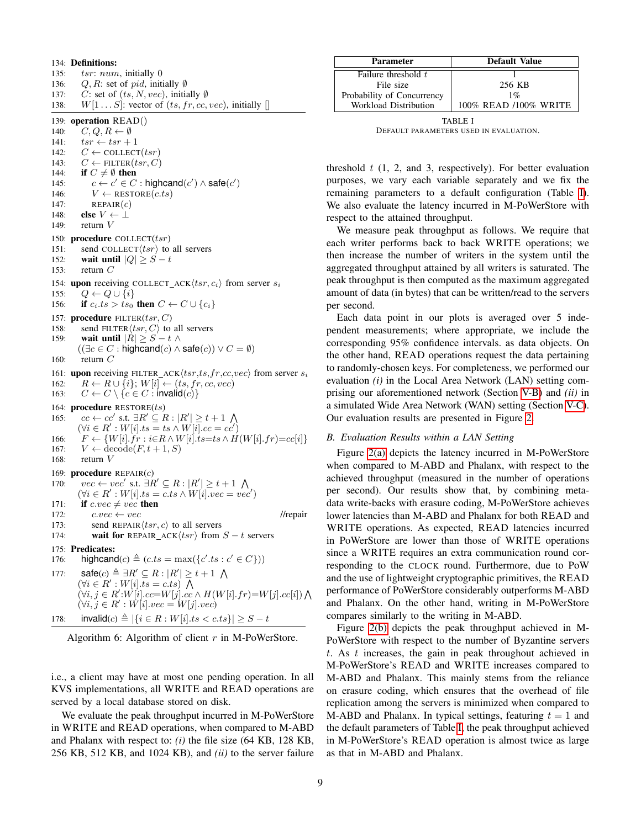134: Definitions:

<span id="page-8-5"></span>135: tsr: num, initially 0 136: Q, R: set of pid, initially  $\emptyset$ 137: C: set of  $(ts, N, vec)$ , initially  $\emptyset$ 138:  $W[1 \dots S]$ : vector of  $(ts, fr, cc, vec)$ , initially  $[]$ 139: operation READ() 140:  $C, Q, R \leftarrow \emptyset$ 141:  $tsr \leftarrow tsr + 1$ 142:  $C \leftarrow \text{COLLECT}(tsr)$ 143:  $C \leftarrow$  FILTER(*tsr*, *C*) 144: if  $C \neq \emptyset$  then 145:  $c \leftarrow c' \in C$ : highcand $(c') \wedge \text{safe}(c')$ 146:  $V \leftarrow \text{RESTORE}(c.ts)$ 147: REPAIR $(c)$ 148: **else**  $V \leftarrow \perp$ 149: return V 150: procedure COLLECT $(tsr)$ 151: send COLLECT $\langle tsr \rangle$  to all servers 152: **wait until**  $|Q| \geq S - t$ 153: return C 154: upon receiving COLLECT\_ACK $\langle tsr, c_i \rangle$  from server  $s_i$ 155:  $Q \leftarrow Q \cup \{i\}$ 156: if  $c_i.ts > ts_0$  then  $C \leftarrow C \cup \{c_i\}$ 157: procedure  $FILTER(tsr, C)$ 158: send FILTER $\langle tsr, C \rangle$  to all servers 159: **wait until**  $|R| \geq S - t \wedge$  $((\exists c \in C : \mathsf{highcand}(c) \land \mathsf{safe}(c)) \lor C = \emptyset)$ 160: return  $C$ 161: upon receiving FILTER\_ACK $\langle tsr, ts, fr, cc, vec \rangle$  from server  $s_i$ 162:  $R \leftarrow R \cup \{i\}; W[i] \leftarrow (ts, fr, cc, vec)$ 163:  $C \leftarrow C \setminus \{c \in C : \text{invalid}(c)\}\$ 164: procedure  $RESTORE(ts)$ 165:  $cc \leftarrow cc'$  s.t.  $\exists R' \subseteq R : |R'| \geq t+1 \ \bigwedge$  $(\forall i \in R' : W[i].ts = ts \land W[i].cc = cc')$ 166:  $F \leftarrow \{W[i].fr : i \in R \wedge W[i].ts = ts \wedge H(W[i].fr) = cc[i]\}$ 167:  $V \leftarrow \text{decode}(F, t+1, S)$ 168: return  $V$ 169: procedure  $REPAIR(c)$ 170:  $vec \leftrightarrow vec'$  s.t.  $\exists R' \subseteq R : |R'| \geq t+1 \bigwedge$  $(\forall i \in R' : W[i].ts = c.ts \wedge W[i].vec = vec')$ 171: if  $c.vec \neq vec$  then 172:  $c.vec \leftarrow vec$ <br>
173: send REPAIR $(tsr, c)$  to all servers //repair send REPAIR $\langle tsr, c \rangle$  to all servers 174: wait for REPAIR\_ACK $\langle tsr \rangle$  from  $S - t$  servers 175: Predicates: 176: highcand $(c) \triangleq (c.ts = \max({c'}.ts : c' \in C))$ 177:  $\text{safe}(c) \triangleq \exists R' \subseteq R : |R'| \geq t+1 \text{ } \bigwedge$  $(\forall i \in R' : W[i].ts = c.ts) \bigwedge$  $(\forall i, j \in R' : W[i].cc=W[j].cc \wedge H(W[i].fr)=W[j].cc[i]) \bigwedge$  $(\forall i, j \in R' : W[i].vec = W[j].vec)$ 178: **invalid**(*c*)  $\triangleq |\{i \in R : W[i].ts < c.ts\}|$  ≥ *S* − *t* 

<span id="page-8-7"></span><span id="page-8-2"></span>Algorithm 6: Algorithm of client  $r$  in M-PoWerStore.

i.e., a client may have at most one pending operation. In all KVS implementations, all WRITE and READ operations are served by a local database stored on disk.

We evaluate the peak throughput incurred in M-PoWerStore in WRITE and READ operations, when compared to M-ABD and Phalanx with respect to: *(i)* the file size (64 KB, 128 KB, 256 KB, 512 KB, and 1024 KB), and *(ii)* to the server failure

| <b>Parameter</b>           | <b>Default Value</b>  |
|----------------------------|-----------------------|
| Failure threshold t        |                       |
| File size                  | 256 KB                |
| Probability of Concurrency | $1\%$                 |
| Workload Distribution      | 100% READ /100% WRITE |

<span id="page-8-3"></span>TABLE I DEFAULT PARAMETERS USED IN EVALUATION.

threshold  $t$  (1, 2, and 3, respectively). For better evaluation purposes, we vary each variable separately and we fix the remaining parameters to a default configuration (Table [I\)](#page-8-3). We also evaluate the latency incurred in M-PoWerStore with respect to the attained throughput.

We measure peak throughput as follows. We require that each writer performs back to back WRITE operations; we then increase the number of writers in the system until the aggregated throughput attained by all writers is saturated. The peak throughput is then computed as the maximum aggregated amount of data (in bytes) that can be written/read to the servers per second.

Each data point in our plots is averaged over 5 independent measurements; where appropriate, we include the corresponding 95% confidence intervals. as data objects. On the other hand, READ operations request the data pertaining to randomly-chosen keys. For completeness, we performed our evaluation *(i)* in the Local Area Network (LAN) setting comprising our aforementioned network (Section [V-B\)](#page-8-4) and *(ii)* in a simulated Wide Area Network (WAN) setting (Section [V-C\)](#page-9-1). Our evaluation results are presented in Figure [2.](#page-9-2)

# <span id="page-8-8"></span><span id="page-8-6"></span><span id="page-8-4"></span>*B. Evaluation Results within a LAN Setting*

<span id="page-8-1"></span>Figure [2\(a\)](#page-9-3) depicts the latency incurred in M-PoWerStore when compared to M-ABD and Phalanx, with respect to the achieved throughput (measured in the number of operations per second). Our results show that, by combining metadata write-backs with erasure coding, M-PoWerStore achieves lower latencies than M-ABD and Phalanx for both READ and WRITE operations. As expected, READ latencies incurred in PoWerStore are lower than those of WRITE operations since a WRITE requires an extra communication round corresponding to the CLOCK round. Furthermore, due to PoW and the use of lightweight cryptographic primitives, the READ performance of PoWerStore considerably outperforms M-ABD and Phalanx. On the other hand, writing in M-PoWerStore compares similarly to the writing in M-ABD.

<span id="page-8-0"></span>Figure [2\(b\)](#page-9-4) depicts the peak throughput achieved in M-PoWerStore with respect to the number of Byzantine servers t. As t increases, the gain in peak throughout achieved in M-PoWerStore's READ and WRITE increases compared to M-ABD and Phalanx. This mainly stems from the reliance on erasure coding, which ensures that the overhead of file replication among the servers is minimized when compared to M-ABD and Phalanx. In typical settings, featuring  $t = 1$  and the default parameters of Table [I,](#page-8-3) the peak throughput achieved in M-PoWerStore's READ operation is almost twice as large as that in M-ABD and Phalanx.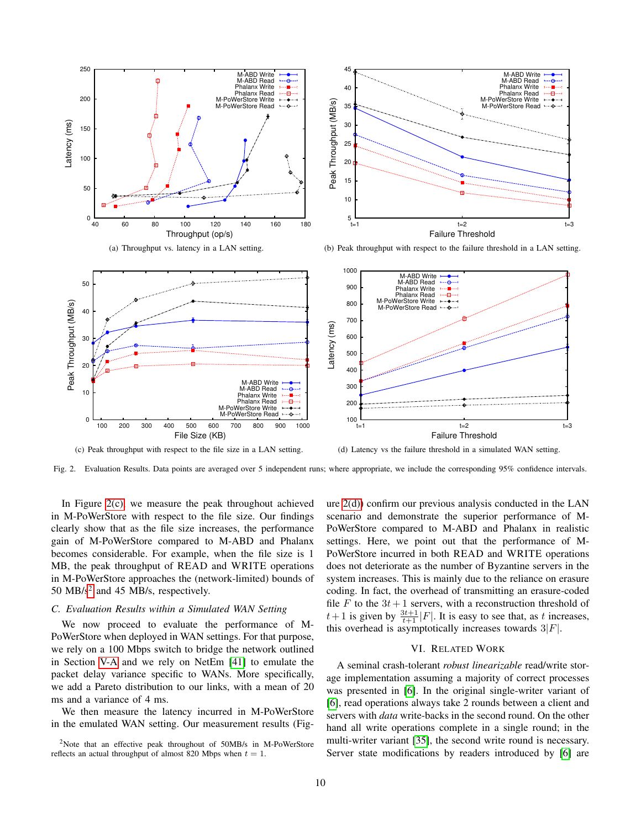<span id="page-9-3"></span>

<span id="page-9-5"></span>Fig. 2. Evaluation Results. Data points are averaged over 5 independent runs; where appropriate, we include the corresponding 95% confidence intervals.

In Figure [2\(c\),](#page-9-5) we measure the peak throughout achieved in M-PoWerStore with respect to the file size. Our findings clearly show that as the file size increases, the performance gain of M-PoWerStore compared to M-ABD and Phalanx becomes considerable. For example, when the file size is 1 MB, the peak throughput of READ and WRITE operations in M-PoWerStore approaches the (network-limited) bounds of 50 MB/s<sup>[2](#page-9-6)</sup> and 45 MB/s, respectively.

# <span id="page-9-1"></span>*C. Evaluation Results within a Simulated WAN Setting*

We now proceed to evaluate the performance of M-PoWerStore when deployed in WAN settings. For that purpose, we rely on a 100 Mbps switch to bridge the network outlined in Section [V-A](#page-7-2) and we rely on NetEm [\[41\]](#page-11-33) to emulate the packet delay variance specific to WANs. More specifically, we add a Pareto distribution to our links, with a mean of 20 ms and a variance of 4 ms.

We then measure the latency incurred in M-PoWerStore in the emulated WAN setting. Our measurement results (Fig<span id="page-9-7"></span><span id="page-9-4"></span><span id="page-9-2"></span>ure  $2(d)$ ) confirm our previous analysis conducted in the LAN scenario and demonstrate the superior performance of M-PoWerStore compared to M-ABD and Phalanx in realistic settings. Here, we point out that the performance of M-PoWerStore incurred in both READ and WRITE operations does not deteriorate as the number of Byzantine servers in the system increases. This is mainly due to the reliance on erasure coding. In fact, the overhead of transmitting an erasure-coded file F to the  $3t+1$  servers, with a reconstruction threshold of  $t+1$  is given by  $\frac{3t+1}{t+1}$  | F|. It is easy to see that, as t increases, this overhead is asymptotically increases towards  $3|F|$ .

# VI. RELATED WORK

<span id="page-9-0"></span>A seminal crash-tolerant *robust linearizable* read/write storage implementation assuming a majority of correct processes was presented in [\[6\]](#page-11-10). In the original single-writer variant of [\[6\]](#page-11-10), read operations always take 2 rounds between a client and servers with *data* write-backs in the second round. On the other hand all write operations complete in a single round; in the multi-writer variant [\[35\]](#page-11-34), the second write round is necessary. Server state modifications by readers introduced by [\[6\]](#page-11-10) are

<span id="page-9-6"></span><sup>2</sup>Note that an effective peak throughout of 50MB/s in M-PoWerStore reflects an actual throughput of almost 820 Mbps when  $t = 1$ .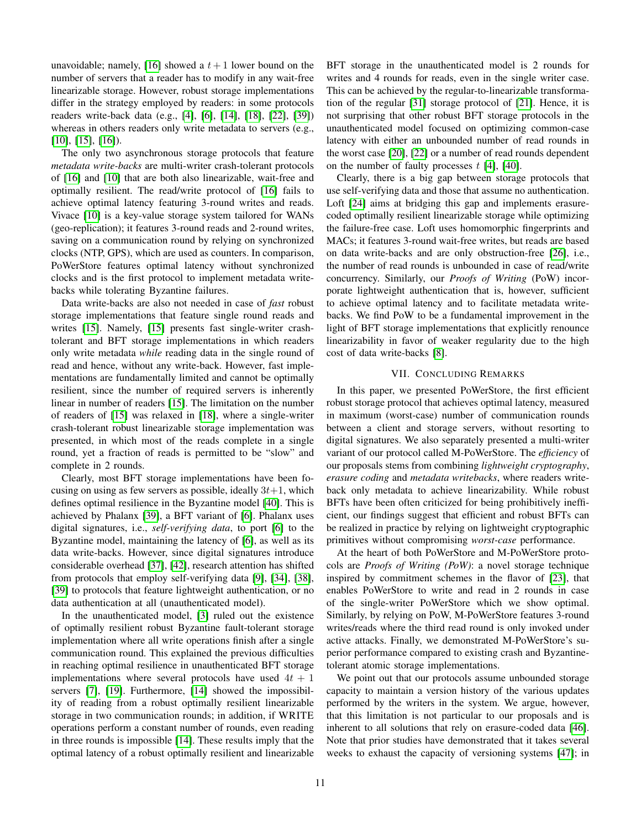unavoidable; namely, [\[16\]](#page-11-30) showed a  $t + 1$  lower bound on the number of servers that a reader has to modify in any wait-free linearizable storage. However, robust storage implementations differ in the strategy employed by readers: in some protocols readers write-back data (e.g., [\[4\]](#page-11-27), [\[6\]](#page-11-10), [\[14\]](#page-11-35), [\[18\]](#page-11-26), [\[22\]](#page-11-4), [\[39\]](#page-11-19)) whereas in others readers only write metadata to servers (e.g., [\[10\]](#page-11-36), [\[15\]](#page-11-16), [\[16\]](#page-11-30)).

The only two asynchronous storage protocols that feature *metadata write-backs* are multi-writer crash-tolerant protocols of [\[16\]](#page-11-30) and [\[10\]](#page-11-36) that are both also linearizable, wait-free and optimally resilient. The read/write protocol of [\[16\]](#page-11-30) fails to achieve optimal latency featuring 3-round writes and reads. Vivace [\[10\]](#page-11-36) is a key-value storage system tailored for WANs (geo-replication); it features 3-round reads and 2-round writes, saving on a communication round by relying on synchronized clocks (NTP, GPS), which are used as counters. In comparison, PoWerStore features optimal latency without synchronized clocks and is the first protocol to implement metadata writebacks while tolerating Byzantine failures.

Data write-backs are also not needed in case of *fast* robust storage implementations that feature single round reads and writes [\[15\]](#page-11-16). Namely, [\[15\]](#page-11-16) presents fast single-writer crashtolerant and BFT storage implementations in which readers only write metadata *while* reading data in the single round of read and hence, without any write-back. However, fast implementations are fundamentally limited and cannot be optimally resilient, since the number of required servers is inherently linear in number of readers [\[15\]](#page-11-16). The limitation on the number of readers of [\[15\]](#page-11-16) was relaxed in [\[18\]](#page-11-26), where a single-writer crash-tolerant robust linearizable storage implementation was presented, in which most of the reads complete in a single round, yet a fraction of reads is permitted to be "slow" and complete in 2 rounds.

Clearly, most BFT storage implementations have been focusing on using as few servers as possible, ideally  $3t+1$ , which defines optimal resilience in the Byzantine model [\[40\]](#page-11-12). This is achieved by Phalanx [\[39\]](#page-11-19), a BFT variant of [\[6\]](#page-11-10). Phalanx uses digital signatures, i.e., *self-verifying data*, to port [\[6\]](#page-11-10) to the Byzantine model, maintaining the latency of [\[6\]](#page-11-10), as well as its data write-backs. However, since digital signatures introduce considerable overhead [\[37\]](#page-11-37), [\[42\]](#page-11-38), research attention has shifted from protocols that employ self-verifying data [\[9\]](#page-11-39), [\[34\]](#page-11-17), [\[38\]](#page-11-40), [\[39\]](#page-11-19) to protocols that feature lightweight authentication, or no data authentication at all (unauthenticated model).

In the unauthenticated model, [\[3\]](#page-11-41) ruled out the existence of optimally resilient robust Byzantine fault-tolerant storage implementation where all write operations finish after a single communication round. This explained the previous difficulties in reaching optimal resilience in unauthenticated BFT storage implementations where several protocols have used  $4t + 1$ servers [\[7\]](#page-11-18), [\[19\]](#page-11-42). Furthermore, [\[14\]](#page-11-35) showed the impossibility of reading from a robust optimally resilient linearizable storage in two communication rounds; in addition, if WRITE operations perform a constant number of rounds, even reading in three rounds is impossible [\[14\]](#page-11-35). These results imply that the optimal latency of a robust optimally resilient and linearizable BFT storage in the unauthenticated model is 2 rounds for writes and 4 rounds for reads, even in the single writer case. This can be achieved by the regular-to-linearizable transformation of the regular [\[31\]](#page-11-9) storage protocol of [\[21\]](#page-11-43). Hence, it is not surprising that other robust BFT storage protocols in the unauthenticated model focused on optimizing common-case latency with either an unbounded number of read rounds in the worst case [\[20\]](#page-11-44), [\[22\]](#page-11-4) or a number of read rounds dependent on the number of faulty processes  $t$  [\[4\]](#page-11-27), [\[40\]](#page-11-12).

Clearly, there is a big gap between storage protocols that use self-verifying data and those that assume no authentication. Loft [\[24\]](#page-11-5) aims at bridging this gap and implements erasurecoded optimally resilient linearizable storage while optimizing the failure-free case. Loft uses homomorphic fingerprints and MACs; it features 3-round wait-free writes, but reads are based on data write-backs and are only obstruction-free [\[26\]](#page-11-45), i.e., the number of read rounds is unbounded in case of read/write concurrency. Similarly, our *Proofs of Writing* (PoW) incorporate lightweight authentication that is, however, sufficient to achieve optimal latency and to facilitate metadata writebacks. We find PoW to be a fundamental improvement in the light of BFT storage implementations that explicitly renounce linearizability in favor of weaker regularity due to the high cost of data write-backs [\[8\]](#page-11-46).

## VII. CONCLUDING REMARKS

<span id="page-10-0"></span>In this paper, we presented PoWerStore, the first efficient robust storage protocol that achieves optimal latency, measured in maximum (worst-case) number of communication rounds between a client and storage servers, without resorting to digital signatures. We also separately presented a multi-writer variant of our protocol called M-PoWerStore. The *efficiency* of our proposals stems from combining *lightweight cryptography*, *erasure coding* and *metadata writebacks*, where readers writeback only metadata to achieve linearizability. While robust BFTs have been often criticized for being prohibitively inefficient, our findings suggest that efficient and robust BFTs can be realized in practice by relying on lightweight cryptographic primitives without compromising *worst-case* performance.

At the heart of both PoWerStore and M-PoWerStore protocols are *Proofs of Writing (PoW)*: a novel storage technique inspired by commitment schemes in the flavor of [\[23\]](#page-11-14), that enables PoWerStore to write and read in 2 rounds in case of the single-writer PoWerStore which we show optimal. Similarly, by relying on PoW, M-PoWerStore features 3-round writes/reads where the third read round is only invoked under active attacks. Finally, we demonstrated M-PoWerStore's superior performance compared to existing crash and Byzantinetolerant atomic storage implementations.

We point out that our protocols assume unbounded storage capacity to maintain a version history of the various updates performed by the writers in the system. We argue, however, that this limitation is not particular to our proposals and is inherent to all solutions that rely on erasure-coded data [\[46\]](#page-11-47). Note that prior studies have demonstrated that it takes several weeks to exhaust the capacity of versioning systems [\[47\]](#page-11-48); in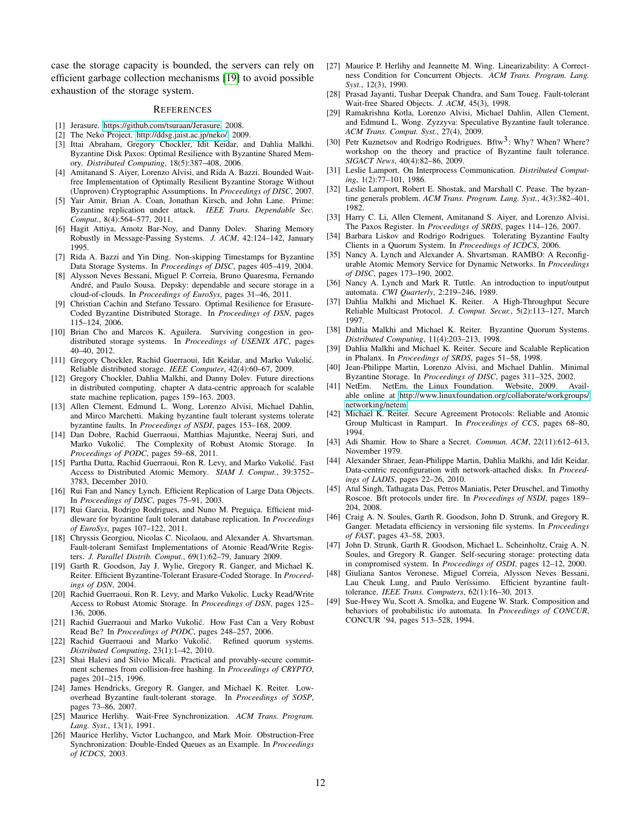case the storage capacity is bounded, the servers can rely on efficient garbage collection mechanisms [\[19\]](#page-11-42) to avoid possible exhaustion of the storage system.

#### **REFERENCES**

- <span id="page-11-32"></span>[1] Jerasure. [https://github.com/tsuraan/Jerasure,](https://github.com/tsuraan/Jerasure) 2008.
- <span id="page-11-31"></span>[2] The Neko Project. [http://ddsg.jaist.ac.jp/neko/,](http://ddsg.jaist.ac.jp/neko/) 2009.
- <span id="page-11-41"></span>[3] Ittai Abraham, Gregory Chockler, Idit Keidar, and Dahlia Malkhi. Byzantine Disk Paxos: Optimal Resilience with Byzantine Shared Memory. *Distributed Computing*, 18(5):387–408, 2006.
- <span id="page-11-27"></span>[4] Amitanand S. Aiyer, Lorenzo Alvisi, and Rida A. Bazzi. Bounded Waitfree Implementation of Optimally Resilient Byzantine Storage Without (Unproven) Cryptographic Assumptions. In *Proceedings of DISC*, 2007.
- <span id="page-11-0"></span>[5] Yair Amir, Brian A. Coan, Jonathan Kirsch, and John Lane. Prime: Byzantine replication under attack. *IEEE Trans. Dependable Sec. Comput.*, 8(4):564–577, 2011.
- <span id="page-11-10"></span>[6] Hagit Attiya, Amotz Bar-Noy, and Danny Dolev. Sharing Memory Robustly in Message-Passing Systems. *J. ACM*, 42:124–142, January 1995.
- <span id="page-11-18"></span>[7] Rida A. Bazzi and Yin Ding. Non-skipping Timestamps for Byzantine Data Storage Systems. In *Proceedings of DISC*, pages 405–419, 2004.
- <span id="page-11-46"></span>[8] Alysson Neves Bessani, Miguel P. Correia, Bruno Quaresma, Fernando André, and Paulo Sousa. Depsky: dependable and secure storage in a cloud-of-clouds. In *Proceedings of EuroSys*, pages 31–46, 2011.
- <span id="page-11-39"></span>[9] Christian Cachin and Stefano Tessaro. Optimal Resilience for Erasure-Coded Byzantine Distributed Storage. In *Proceedings of DSN*, pages 115–124, 2006.
- <span id="page-11-36"></span>[10] Brian Cho and Marcos K. Aguilera. Surviving congestion in geodistributed storage systems. In *Proceedings of USENIX ATC*, pages 40–40, 2012.
- <span id="page-11-20"></span>[11] Gregory Chockler, Rachid Guerraoui, Idit Keidar, and Marko Vukolić. Reliable distributed storage. *IEEE Computer*, 42(4):60–67, 2009.
- <span id="page-11-21"></span>[12] Gregory Chockler, Dahlia Malkhi, and Danny Doley. Future directions in distributed computing. chapter A data-centric approach for scalable state machine replication, pages 159–163. 2003.
- <span id="page-11-1"></span>[13] Allen Clement, Edmund L. Wong, Lorenzo Alvisi, Michael Dahlin, and Mirco Marchetti. Making byzantine fault tolerant systems tolerate byzantine faults. In *Proceedings of NSDI*, pages 153–168, 2009.
- <span id="page-11-35"></span>[14] Dan Dobre, Rachid Guerraoui, Matthias Majuntke, Neeraj Suri, and Marko Vukolic. The Complexity of Robust Atomic Storage. In ´ *Proceedings of PODC*, pages 59–68, 2011.
- <span id="page-11-16"></span>[15] Partha Dutta, Rachid Guerraoui, Ron R. Levy, and Marko Vukolić. Fast Access to Distributed Atomic Memory. *SIAM J. Comput.*, 39:3752– 3783, December 2010.
- <span id="page-11-30"></span>[16] Rui Fan and Nancy Lynch. Efficient Replication of Large Data Objects. In *Proceedings of DISC*, pages 75–91, 2003.
- <span id="page-11-7"></span>[17] Rui Garcia, Rodrigo Rodrigues, and Nuno M. Preguiça. Efficient middleware for byzantine fault tolerant database replication. In *Proceedings of EuroSys*, pages 107–122, 2011.
- <span id="page-11-26"></span>[18] Chryssis Georgiou, Nicolas C. Nicolaou, and Alexander A. Shvartsman. Fault-tolerant Semifast Implementations of Atomic Read/Write Registers. *J. Parallel Distrib. Comput.*, 69(1):62–79, January 2009.
- <span id="page-11-42"></span>[19] Garth R. Goodson, Jay J. Wylie, Gregory R. Ganger, and Michael K. Reiter. Efficient Byzantine-Tolerant Erasure-Coded Storage. In *Proceedings of DSN*, 2004.
- <span id="page-11-44"></span>[20] Rachid Guerraoui, Ron R. Levy, and Marko Vukolic. Lucky Read/Write Access to Robust Atomic Storage. In *Proceedings of DSN*, pages 125– 136, 2006.
- <span id="page-11-43"></span>[21] Rachid Guerraoui and Marko Vukolić. How Fast Can a Very Robust Read Be? In *Proceedings of PODC*, pages 248–257, 2006.
- <span id="page-11-4"></span>[22] Rachid Guerraoui and Marko Vukolić. *Distributed Computing*, 23(1):1–42, 2010.
- <span id="page-11-14"></span>[23] Shai Halevi and Silvio Micali. Practical and provably-secure commitment schemes from collision-free hashing. In *Proceedings of CRYPTO*, pages 201–215, 1996.
- <span id="page-11-5"></span>[24] James Hendricks, Gregory R. Ganger, and Michael K. Reiter. Lowoverhead Byzantine fault-tolerant storage. In *Proceedings of SOSP*, pages 73–86, 2007.
- <span id="page-11-11"></span>[25] Maurice Herlihy. Wait-Free Synchronization. *ACM Trans. Program. Lang. Syst.*, 13(1), 1991.
- <span id="page-11-45"></span>[26] Maurice Herlihy, Victor Luchangco, and Mark Moir. Obstruction-Free Synchronization: Double-Ended Queues as an Example. In *Proceedings of ICDCS*, 2003.
- <span id="page-11-13"></span>[27] Maurice P. Herlihy and Jeannette M. Wing. Linearizability: A Correctness Condition for Concurrent Objects. *ACM Trans. Program. Lang. Syst.*, 12(3), 1990.
- <span id="page-11-25"></span>[28] Prasad Jayanti, Tushar Deepak Chandra, and Sam Toueg. Fault-tolerant Wait-free Shared Objects. *J. ACM*, 45(3), 1998.
- <span id="page-11-6"></span>[29] Ramakrishna Kotla, Lorenzo Alvisi, Michael Dahlin, Allen Clement, and Edmund L. Wong. Zyzzyva: Speculative Byzantine fault tolerance. *ACM Trans. Comput. Syst.*, 27(4), 2009.
- <span id="page-11-3"></span>[30] Petr Kuznetsov and Rodrigo Rodrigues. Bftw<sup>3</sup>: Why? When? Where? workshop on the theory and practice of Byzantine fault tolerance. *SIGACT News*, 40(4):82–86, 2009.
- <span id="page-11-9"></span>[31] Leslie Lamport. On Interprocess Communication. *Distributed Computing*, 1(2):77–101, 1986.
- <span id="page-11-24"></span>[32] Leslie Lamport, Robert E. Shostak, and Marshall C. Pease. The byzantine generals problem. *ACM Trans. Program. Lang. Syst.*, 4(3):382–401, 1982.
- <span id="page-11-28"></span>[33] Harry C. Li, Allen Clement, Amitanand S. Aiyer, and Lorenzo Alvisi. The Paxos Register. In *Proceedings of SRDS*, pages 114–126, 2007.
- <span id="page-11-17"></span>[34] Barbara Liskov and Rodrigo Rodrigues. Tolerating Byzantine Faulty Clients in a Quorum System. In *Proceedings of ICDCS*, 2006.
- <span id="page-11-34"></span>[35] Nancy A. Lynch and Alexander A. Shvartsman. RAMBO: A Reconfigurable Atomic Memory Service for Dynamic Networks. In *Proceedings of DISC*, pages 173–190, 2002.
- <span id="page-11-29"></span>[36] Nancy A. Lynch and Mark R. Tuttle. An introduction to input/output automata. *CWI Quarterly*, 2:219–246, 1989.
- <span id="page-11-37"></span>[37] Dahlia Malkhi and Michael K. Reiter. A High-Throughput Secure Reliable Multicast Protocol. *J. Comput. Secur.*, 5(2):113–127, March 1997.
- <span id="page-11-40"></span>[38] Dahlia Malkhi and Michael K. Reiter. Byzantine Quorum Systems. *Distributed Computing*, 11(4):203–213, 1998.
- <span id="page-11-19"></span>[39] Dahlia Malkhi and Michael K. Reiter. Secure and Scalable Replication in Phalanx. In *Proceedings of SRDS*, pages 51–58, 1998.
- <span id="page-11-12"></span>[40] Jean-Philippe Martin, Lorenzo Alvisi, and Michael Dahlin. Minimal Byzantine Storage. In *Proceedings of DISC*, pages 311–325, 2002.
- <span id="page-11-33"></span>[41] NetEm. NetEm, the Linux Foundation. Website, 2009. Available online at [http://www.linuxfoundation.org/collaborate/workgroups/](http://www.linuxfoundation.org/collaborate/workgroups/networking/netem) [networking/netem.](http://www.linuxfoundation.org/collaborate/workgroups/networking/netem)
- <span id="page-11-38"></span>[42] Michael K. Reiter. Secure Agreement Protocols: Reliable and Atomic Group Multicast in Rampart. In *Proceedings of CCS*, pages 68–80, 1994.
- <span id="page-11-15"></span>[43] Adi Shamir. How to Share a Secret. *Commun. ACM*, 22(11):612–613, November 1979.
- <span id="page-11-22"></span>[44] Alexander Shraer, Jean-Philippe Martin, Dahlia Malkhi, and Idit Keidar. Data-centric reconfiguration with network-attached disks. In *Proceedings of LADIS*, pages 22–26, 2010.
- <span id="page-11-2"></span>[45] Atul Singh, Tathagata Das, Petros Maniatis, Peter Druschel, and Timothy Roscoe. Bft protocols under fire. In *Proceedings of NSDI*, pages 189– 204, 2008.
- <span id="page-11-47"></span>[46] Craig A. N. Soules, Garth R. Goodson, John D. Strunk, and Gregory R. Ganger. Metadata efficiency in versioning file systems. In *Proceedings of FAST*, pages 43–58, 2003.
- <span id="page-11-48"></span>[47] John D. Strunk, Garth R. Goodson, Michael L. Scheinholtz, Craig A. N. Soules, and Gregory R. Ganger. Self-securing storage: protecting data in compromised system. In *Proceedings of OSDI*, pages 12–12, 2000.
- <span id="page-11-8"></span>[48] Giuliana Santos Veronese, Miguel Correia, Alysson Neves Bessani, Lau Cheuk Lung, and Paulo Veríssimo. Efficient byzantine faulttolerance. *IEEE Trans. Computers*, 62(1):16–30, 2013.
- <span id="page-11-23"></span>[49] Sue-Hwey Wu, Scott A. Smolka, and Eugene W. Stark. Composition and behaviors of probabilistic i/o automata. In *Proceedings of CONCUR*, CONCUR '94, pages 513–528, 1994.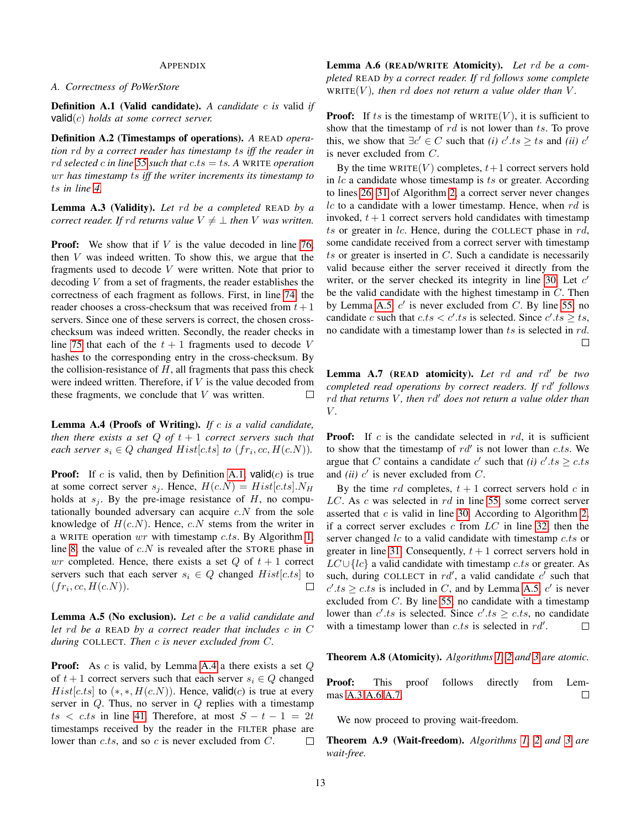## APPENDIX

## *A. Correctness of PoWerStore*

<span id="page-12-0"></span>Definition A.1 (Valid candidate). *A candidate* c *is* valid *if* valid(c) *holds at some correct server.*

Definition A.2 (Timestamps of operations). *A* READ *operation* rd *by a correct reader has timestamp* ts *iff the reader in* rd *selected* c *in line [55](#page-4-2) such that* c.ts = ts*. A* WRITE *operation* wr *has timestamp* ts *iff the writer increments its timestamp to* ts *in line [4.](#page-2-2)*

<span id="page-12-3"></span>Lemma A.3 (Validity). *Let* rd *be a completed* READ *by a correct reader. If rd returns value*  $V \neq \perp$  *then* V *was written.* 

**Proof:** We show that if  $V$  is the value decoded in line [76,](#page-4-3) then  $V$  was indeed written. To show this, we argue that the fragments used to decode V were written. Note that prior to decoding  $V$  from a set of fragments, the reader establishes the correctness of each fragment as follows. First, in line [74,](#page-4-4) the reader chooses a cross-checksum that was received from  $t + 1$ servers. Since one of these servers is correct, the chosen crosschecksum was indeed written. Secondly, the reader checks in line [75](#page-4-5) that each of the  $t + 1$  fragments used to decode V hashes to the corresponding entry in the cross-checksum. By the collision-resistance of  $H$ , all fragments that pass this check were indeed written. Therefore, if  $V$  is the value decoded from these fragments, we conclude that  $V$  was written.  $\Box$ 

<span id="page-12-1"></span>Lemma A.4 (Proofs of Writing). *If* c *is a valid candidate, then there exists a set*  $Q$  *of*  $t + 1$  *correct servers such that each server*  $s_i \in Q$  *changed*  $Hist[c.ts]$  *to*  $(fr_i, cc, H(c.N))$ *.* 

**Proof:** If c is valid, then by Definition [A.1,](#page-12-0) valid $(c)$  is true at some correct server  $s_j$ . Hence,  $H(c.N) = Hist[c.ts]$ .  $N_H$ holds at  $s_i$ . By the pre-image resistance of H, no computationally bounded adversary can acquire  $c.N$  from the sole knowledge of  $H(c.N)$ . Hence, c.N stems from the writer in a WRITE operation  $wr$  with timestamp  $c.ts$ . By Algorithm [1,](#page-2-0) line [8,](#page-2-3) the value of  $c.N$  is revealed after the STORE phase in wr completed. Hence, there exists a set  $Q$  of  $t + 1$  correct servers such that each server  $s_i \in Q$  changed  $Hist[c.ts]$  to  $(fr_i, cc, H(c.N)).$  $\Box$ 

<span id="page-12-2"></span>Lemma A.5 (No exclusion). *Let* c *be a valid candidate and let* rd *be a* READ *by a correct reader that includes* c *in* C *during* COLLECT*. Then* c *is never excluded from* C*.*

<span id="page-12-4"></span>**Proof:** As  $c$  is valid, by Lemma [A.4](#page-12-1) a there exists a set  $Q$ of  $t + 1$  correct servers such that each server  $s_i \in Q$  changed  $Hist[c.ts]$  to  $(*, *, H(c.N))$ . Hence, valid $(c)$  is true at every server in  $Q$ . Thus, no server in  $Q$  replies with a timestamp  $ts < c.ts$  in line [41.](#page-3-3) Therefore, at most  $S - t - 1 = 2t$ timestamps received by the reader in the FILTER phase are lower than  $c.ts$ , and so  $c$  is never excluded from  $C$ .  $\Box$ 

Lemma A.6 (READ/WRITE Atomicity). *Let* rd *be a completed* READ *by a correct reader. If* rd *follows some complete*  $WRITE(V)$ *, then rd does not return a value older than* V.

**Proof:** If ts is the timestamp of  $WRITE(V)$ , it is sufficient to show that the timestamp of  $rd$  is not lower than ts. To prove this, we show that  $\exists c' \in C$  such that *(i)*  $c'.ts \ge ts$  and *(ii)*  $c'$ is never excluded from C.

By the time WRITE $(V)$  completes,  $t+1$  correct servers hold in  $lc$  a candidate whose timestamp is  $ts$  or greater. According to lines [26,](#page-3-4) [31](#page-3-5) of Algorithm [2,](#page-3-1) a correct server never changes  $lc$  to a candidate with a lower timestamp. Hence, when  $rd$  is invoked,  $t + 1$  correct servers hold candidates with timestamp  $ts$  or greater in  $lc$ . Hence, during the COLLECT phase in  $rd$ , some candidate received from a correct server with timestamp ts or greater is inserted in  $C$ . Such a candidate is necessarily valid because either the server received it directly from the writer, or the server checked its integrity in line [30.](#page-3-6) Let  $c'$ be the valid candidate with the highest timestamp in C. Then by Lemma [A.5,](#page-12-2)  $c'$  is never excluded from C. By line [55,](#page-4-2) no candidate c such that  $c.ts < c' .ts$  is selected. Since  $c' .ts \geq ts$ , no candidate with a timestamp lower than ts is selected in rd.  $\Box$ 

<span id="page-12-5"></span>Lemma A.7 (READ atomicity). Let rd and rd<sup>1</sup> be two completed read operations by correct readers. If rd' follows rd *that returns* V, then rd' does not return a value older than V *.*

**Proof:** If  $c$  is the candidate selected in  $rd$ , it is sufficient to show that the timestamp of  $rd'$  is not lower than c.ts. We argue that C contains a candidate  $c'$  such that *(i)*  $c'.ts \geq c.ts$ and *(ii)*  $c'$  is never excluded from  $C$ .

By the time rd completes,  $t + 1$  correct servers hold c in  $LC$ . As  $c$  was selected in  $rd$  in line [55,](#page-4-2) some correct server asserted that  $c$  is valid in line [30.](#page-3-6) According to Algorithm [2,](#page-3-1) if a correct server excludes c from  $LC$  in line [32,](#page-3-7) then the server changed  $lc$  to a valid candidate with timestamp  $c.ts$  or greater in line [31.](#page-3-5) Consequently,  $t + 1$  correct servers hold in  $LC \cup \{lc\}$  a valid candidate with timestamp c.ts or greater. As such, during COLLECT in  $rd'$ , a valid candidate  $c'$  such that  $c'.ts \geq c.ts$  is included in C, and by Lemma [A.5,](#page-12-2)  $c'$  is never excluded from  $C$ . By line [55,](#page-4-2) no candidate with a timestamp lower than  $c'.ts$  is selected. Since  $c'.ts \geq c.ts$ , no candidate with a timestamp lower than  $c.ts$  is selected in  $rd'$ .  $\Box$ 

Theorem A.8 (Atomicity). *Algorithms [1,](#page-2-0) [2](#page-3-1) and [3](#page-4-0) are atomic.*

Proof: This proof follows directly from Lemmas [A.3](#page-12-3) [A.6](#page-12-4) [A.7.](#page-12-5)  $\Box$ 

We now proceed to proving wait-freedom.

Theorem A.9 (Wait-freedom). *Algorithms [1,](#page-2-0) [2](#page-3-1) and [3](#page-4-0) are wait-free.*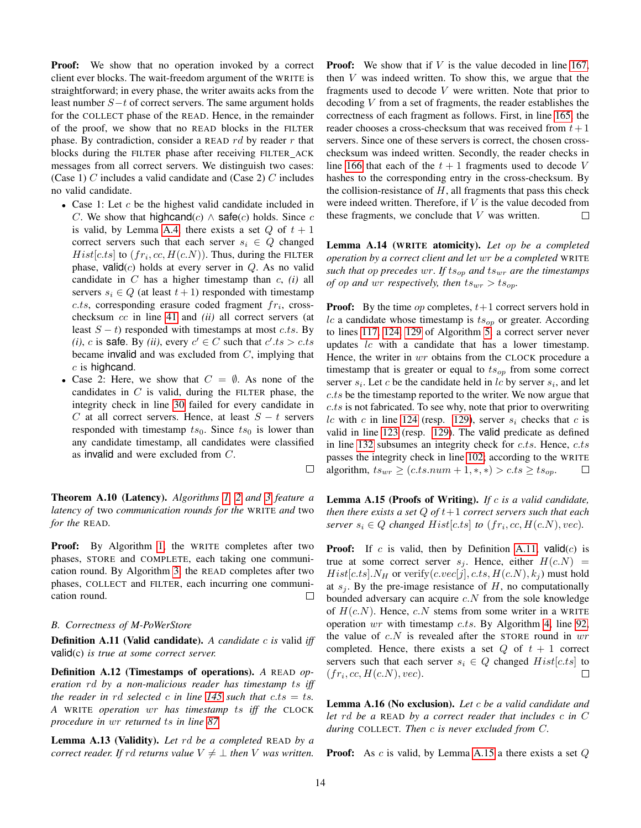**Proof:** We show that no operation invoked by a correct client ever blocks. The wait-freedom argument of the WRITE is straightforward; in every phase, the writer awaits acks from the least number S−t of correct servers. The same argument holds for the COLLECT phase of the READ. Hence, in the remainder of the proof, we show that no READ blocks in the FILTER phase. By contradiction, consider a READ  $rd$  by reader r that blocks during the FILTER phase after receiving FILTER ACK messages from all correct servers. We distinguish two cases: (Case 1)  $C$  includes a valid candidate and (Case 2)  $C$  includes no valid candidate.

- Case 1: Let  $c$  be the highest valid candidate included in C. We show that highcand(c)  $\wedge$  safe(c) holds. Since c is valid, by Lemma [A.4,](#page-12-1) there exists a set  $Q$  of  $t + 1$ correct servers such that each server  $s_i \in Q$  changed  $Hist[c.ts]$  to  $(fr_i, cc, H(c.N))$ . Thus, during the FILTER phase, valid $(c)$  holds at every server in  $Q$ . As no valid candidate in C has a higher timestamp than c, *(i)* all servers  $s_i \in Q$  (at least  $t + 1$ ) responded with timestamp  $c.ts$ , corresponding erasure coded fragment  $fr_i$ , crosschecksum cc in line [41](#page-3-3) and *(ii)* all correct servers (at least  $S - t$ ) responded with timestamps at most c.ts. By *(i)*, *c* is safe. By *(ii)*, every  $c' \in C$  such that  $c'.ts > c.ts$ became invalid and was excluded from  $C$ , implying that  $c$  is highcand.
- Case 2: Here, we show that  $C = \emptyset$ . As none of the candidates in  $C$  is valid, during the FILTER phase, the integrity check in line [30](#page-3-6) failed for every candidate in C at all correct servers. Hence, at least  $S - t$  servers responded with timestamp  $ts_0$ . Since  $ts_0$  is lower than any candidate timestamp, all candidates were classified as invalid and were excluded from C.

Theorem A.10 (Latency). *Algorithms [1,](#page-2-0) [2](#page-3-1) and [3](#page-4-0) feature a latency of* two *communication rounds for the* WRITE *and* two *for the* READ*.*

Proof: By Algorithm [1,](#page-2-0) the WRITE completes after two phases, STORE and COMPLETE, each taking one communication round. By Algorithm [3,](#page-4-0) the READ completes after two phases, COLLECT and FILTER, each incurring one communication round.  $\Box$ 

## *B. Correctness of M-PoWerStore*

<span id="page-13-0"></span>Definition A.11 (Valid candidate). *A candidate c is valid iff* valid(c) *is true at some correct server.*

Definition A.12 (Timestamps of operations). *A* READ *operation* rd *by a non-malicious reader has timestamp* ts *iff the reader in rd selected* c *in line* [145](#page-8-5) *such that*  $c$ *ts* = ts. *A* WRITE *operation* wr *has timestamp* ts *iff the* CLOCK *procedure in* wr *returned* ts *in line [87.](#page-6-1)*

<span id="page-13-3"></span>Lemma A.13 (Validity). *Let* rd *be a completed* READ *by a correct reader. If*  $rd$  *returns value*  $V \neq \bot$  *then*  $V$  *was written.*  **Proof:** We show that if  $V$  is the value decoded in line [167,](#page-8-6) then  $V$  was indeed written. To show this, we argue that the fragments used to decode V were written. Note that prior to decoding  $V$  from a set of fragments, the reader establishes the correctness of each fragment as follows. First, in line [165,](#page-8-7) the reader chooses a cross-checksum that was received from  $t + 1$ servers. Since one of these servers is correct, the chosen crosschecksum was indeed written. Secondly, the reader checks in line [166](#page-8-8) that each of the  $t + 1$  fragments used to decode V hashes to the corresponding entry in the cross-checksum. By the collision-resistance of  $H$ , all fragments that pass this check were indeed written. Therefore, if V is the value decoded from these fragments, we conclude that  $V$  was written.  $\Box$ 

<span id="page-13-4"></span>Lemma A.14 (WRITE atomicity). *Let* op *be a completed operation by a correct client and let* wr *be a completed* WRITE *such that* op *precedes* wr*. If* tsop *and* tswr *are the timestamps of op and wr respectively, then*  $ts_{wr} > ts_{op}$ .

**Proof:** By the time *op* completes,  $t+1$  correct servers hold in lc a candidate whose timestamp is  $ts_{op}$  or greater. According to lines [117,](#page-7-3) [124,](#page-7-4) [129](#page-7-5) of Algorithm [5,](#page-7-1) a correct server never updates lc with a candidate that has a lower timestamp. Hence, the writer in wr obtains from the CLOCK procedure a timestamp that is greater or equal to  $ts_{op}$  from some correct server  $s_i$ . Let c be the candidate held in lc by server  $s_i$ , and let c.ts be the timestamp reported to the writer. We now argue that c.ts is not fabricated. To see why, note that prior to overwriting lc with c in line [124](#page-7-4) (resp. [129\)](#page-7-5), server  $s_i$  checks that c is valid in line [123](#page-7-6) (resp. [129\)](#page-7-5). The valid predicate as defined in line [132](#page-7-7) subsumes an integrity check for  $c.ts$ . Hence,  $c.ts$ passes the integrity check in line [102;](#page-6-2) according to the WRITE algorithm,  $ts_{wr} \ge (c.ts.num + 1, *, *) > c.ts \ge ts_{op}.$  $\Box$ 

<span id="page-13-1"></span>Lemma A.15 (Proofs of Writing). *If* c *is a valid candidate, then there exists a set* Q *of* t+1 *correct servers such that each server*  $s_i \in Q$  *changed*  $Hist[c.ts]$  *to*  $(fr_i, cc, H(c.N), vec)$ *.* 

**Proof:** If c is valid, then by Definition [A.11,](#page-13-0) valid $(c)$  is true at some correct server  $s_j$ . Hence, either  $H(c,N)$  =  $Hist[c.ts]. N_H$  or verify(*c.vec*[*j*], *c.ts*,  $H(c.N), k_j$ ) must hold at  $s_i$ . By the pre-image resistance of  $H$ , no computationally bounded adversary can acquire  $c.N$  from the sole knowledge of  $H(c.N)$ . Hence, c.N stems from some writer in a WRITE operation  $wr$  with timestamp c.ts. By Algorithm [4,](#page-6-0) line [92,](#page-6-3) the value of  $c.N$  is revealed after the STORE round in  $wr$ completed. Hence, there exists a set  $Q$  of  $t + 1$  correct servers such that each server  $s_i \in Q$  changed  $Hist[c.ts]$  to  $(fr_i, cc, H(c.N), vec).$ П

<span id="page-13-2"></span>Lemma A.16 (No exclusion). *Let* c *be a valid candidate and let* rd *be a* READ *by a correct reader that includes* c *in* C *during* COLLECT*. Then* c *is never excluded from* C*.*

**Proof:** As c is valid, by Lemma [A.15](#page-13-1) a there exists a set  $Q$ 

 $\Box$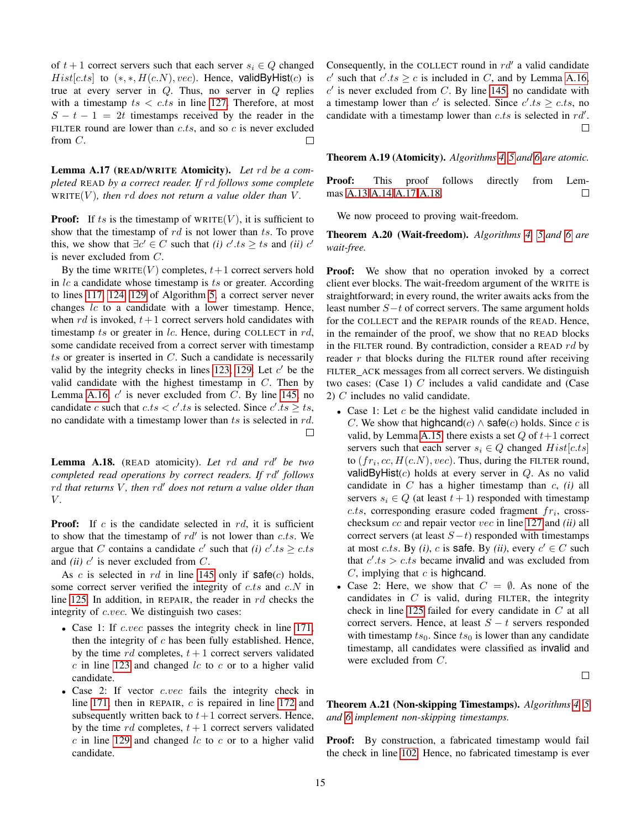of  $t + 1$  correct servers such that each server  $s_i \in Q$  changed  $Hist[c.ts]$  to  $(*, *, H(c.N), vec)$ . Hence, validByHist(c) is true at every server in  $Q$ . Thus, no server in  $Q$  replies with a timestamp  $ts < c.ts$  in line [127.](#page-7-8) Therefore, at most  $S - t - 1 = 2t$  timestamps received by the reader in the FILTER round are lower than  $c.ts$ , and so  $c$  is never excluded from  $C$ .  $\Box$ 

<span id="page-14-0"></span>Lemma A.17 (READ/WRITE Atomicity). *Let* rd *be a completed* READ *by a correct reader. If* rd *follows some complete*  $WRITE(V)$ *, then rd does not return a value older than* V.

**Proof:** If ts is the timestamp of  $WRITE(V)$ , it is sufficient to show that the timestamp of  $rd$  is not lower than  $ts$ . To prove this, we show that  $\exists c' \in C$  such that *(i)*  $c'.ts \geq ts$  and *(ii)*  $c'$ is never excluded from C.

By the time WRITE $(V)$  completes,  $t+1$  correct servers hold in  $lc$  a candidate whose timestamp is  $ts$  or greater. According to lines [117,](#page-7-3) [124,](#page-7-4) [129](#page-7-5) of Algorithm [5,](#page-7-1) a correct server never changes  $lc$  to a candidate with a lower timestamp. Hence, when rd is invoked,  $t+1$  correct servers hold candidates with timestamp ts or greater in  $lc$ . Hence, during COLLECT in  $rd$ , some candidate received from a correct server with timestamp  $ts$  or greater is inserted in  $C$ . Such a candidate is necessarily valid by the integrity checks in lines [123,](#page-7-6) [129.](#page-7-5) Let  $c'$  be the valid candidate with the highest timestamp in  $C$ . Then by Lemma [A.16,](#page-13-2)  $c'$  is never excluded from C. By line [145,](#page-8-5) no candidate c such that  $c.ts < c' .ts$  is selected. Since  $c' .ts \geq ts$ , no candidate with a timestamp lower than  $ts$  is selected in  $rd$ .  $\Box$ 

<span id="page-14-1"></span>**Lemma A.18.** (READ atomicity). Let rd and rd<sup>t</sup> be two *completed read operations by correct readers. If rd' follows* rd that returns V, then rd<sup>1</sup> does not return a value older than V *.*

**Proof:** If  $c$  is the candidate selected in  $rd$ , it is sufficient to show that the timestamp of  $rd'$  is not lower than c.ts. We argue that C contains a candidate  $c'$  such that *(i)*  $c'.ts \geq c.ts$ and *(ii)*  $c'$  is never excluded from  $C$ .

As c is selected in rd in line [145](#page-8-5) only if  $\text{safe}(c)$  holds, some correct server verified the integrity of  $c.ts$  and  $c.N$  in line [125.](#page-7-9) In addition, in REPAIR, the reader in  $rd$  checks the integrity of *c.vec*. We distinguish two cases:

- Case 1: If *c.vec* passes the integrity check in line [171,](#page-8-1) then the integrity of  $c$  has been fully established. Hence, by the time rd completes,  $t + 1$  correct servers validated  $c$  in line [123](#page-7-6) and changed  $lc$  to  $c$  or to a higher valid candidate.
- Case 2: If vector c.vec fails the integrity check in line [171,](#page-8-1) then in REPAIR, c is repaired in line [172](#page-8-2) and subsequently written back to  $t+1$  correct servers. Hence, by the time rd completes,  $t + 1$  correct servers validated  $c$  in line [129](#page-7-5) and changed  $lc$  to  $c$  or to a higher valid candidate.

Consequently, in the COLLECT round in  $rd'$  a valid candidate c' such that  $c'.ts \ge c$  is included in C, and by Lemma [A.16,](#page-13-2)  $c'$  is never excluded from C. By line [145,](#page-8-5) no candidate with a timestamp lower than c' is selected. Since  $c'.ts \geq c.ts$ , no candidate with a timestamp lower than  $c.ts$  is selected in  $rd'$ . П

Theorem A.19 (Atomicity). *Algorithms [4,](#page-6-0) [5](#page-7-1) and [6](#page-8-0) are atomic.*

**Proof:** This proof follows directly from Lemmas [A.13](#page-13-3) [A.14](#page-13-4) [A.17](#page-14-0) [A.18.](#page-14-1) □

We now proceed to proving wait-freedom.

Theorem A.20 (Wait-freedom). *Algorithms [4,](#page-6-0) [5,](#page-7-1)and [6](#page-8-0) are wait-free.*

**Proof:** We show that no operation invoked by a correct client ever blocks. The wait-freedom argument of the WRITE is straightforward; in every round, the writer awaits acks from the least number  $S-t$  of correct servers. The same argument holds for the COLLECT and the REPAIR rounds of the READ. Hence, in the remainder of the proof, we show that no READ blocks in the FILTER round. By contradiction, consider a READ  $rd$  by reader  $r$  that blocks during the FILTER round after receiving FILTER ACK messages from all correct servers. We distinguish two cases: (Case 1)  $C$  includes a valid candidate and (Case 2) C includes no valid candidate.

- Case 1: Let  $c$  be the highest valid candidate included in C. We show that highcand(c)  $\wedge$  safe(c) holds. Since c is valid, by Lemma [A.15,](#page-13-1) there exists a set  $Q$  of  $t+1$  correct servers such that each server  $s_i \in Q$  changed  $Hist[c.ts]$ to  $(fr_i, cc, H(c.N), vec)$ . Thus, during the FILTER round, validByHist $(c)$  holds at every server in  $Q$ . As no valid candidate in C has a higher timestamp than c, *(i)* all servers  $s_i \in Q$  (at least  $t + 1$ ) responded with timestamp  $c.ts$ , corresponding erasure coded fragment  $fr_i$ , crosschecksum cc and repair vector vec in line [127](#page-7-8) and *(ii)* all correct servers (at least  $S-t$ ) responded with timestamps at most *c.ts*. By *(i)*, *c* is **safe**. By *(ii)*, every  $c' \in C$  such that  $c'.ts > c.ts$  became invalid and was excluded from  $C$ , implying that  $c$  is highcand.
- Case 2: Here, we show that  $C = \emptyset$ . As none of the candidates in  $C$  is valid, during FILTER, the integrity check in line [125](#page-7-9) failed for every candidate in C at all correct servers. Hence, at least  $S - t$  servers responded with timestamp  $ts_0$ . Since  $ts_0$  is lower than any candidate timestamp, all candidates were classified as invalid and were excluded from C.

 $\Box$ 

Theorem A.21 (Non-skipping Timestamps). *Algorithms [4,](#page-6-0) [5](#page-7-1) and [6](#page-8-0) implement non-skipping timestamps.*

Proof: By construction, a fabricated timestamp would fail the check in line [102.](#page-6-2) Hence, no fabricated timestamp is ever